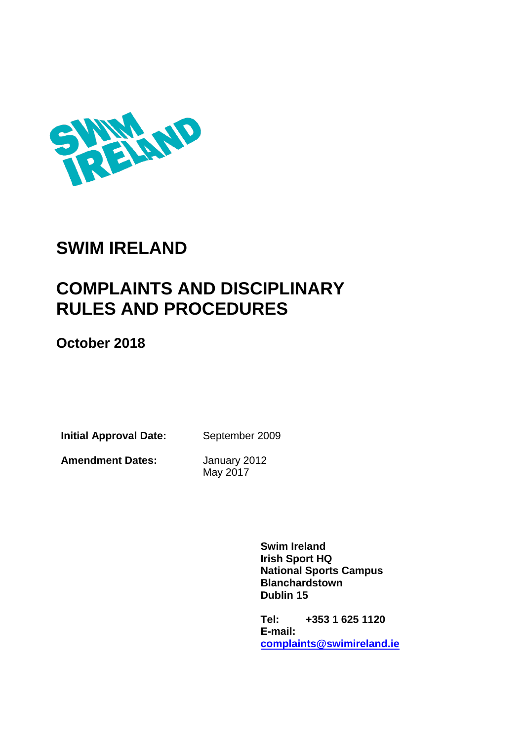

# **SWIM IRELAND**

# **COMPLAINTS AND DISCIPLINARY RULES AND PROCEDURES**

**October 2018**

**Initial Approval Date:** September 2009

**Amendment Dates:** January 2012

May 2017

**Swim Ireland Irish Sport HQ National Sports Campus Blanchardstown Dublin 15**

**Tel: +353 1 625 1120 E-mail: [complaints@swimireland.ie](mailto:complaints@swimireland.ie)**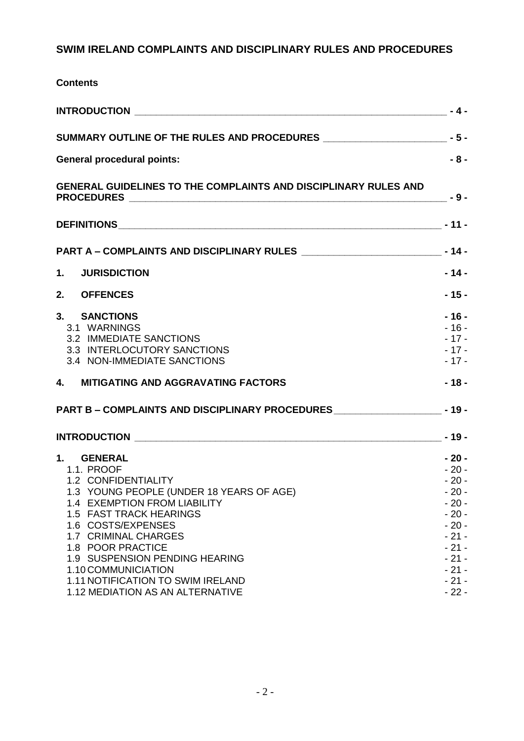# **SWIM IRELAND COMPLAINTS AND DISCIPLINARY RULES AND PROCEDURES**

| <b>Contents</b>                                                                        |                  |
|----------------------------------------------------------------------------------------|------------------|
|                                                                                        |                  |
| SUMMARY OUTLINE OF THE RULES AND PROCEDURES ____________________________- - 5 -        |                  |
| <b>General procedural points:</b>                                                      | $-8-$            |
| <b>GENERAL GUIDELINES TO THE COMPLAINTS AND DISCIPLINARY RULES AND</b>                 |                  |
|                                                                                        |                  |
| PART A - COMPLAINTS AND DISCIPLINARY RULES ___________________________________- - 14 - |                  |
| <b>JURISDICTION</b><br>1.                                                              | $-14-$           |
| 2.<br><b>OFFENCES</b>                                                                  | $-15-$           |
| 3.<br><b>SANCTIONS</b>                                                                 | $-16-$           |
| 3.1 WARNINGS                                                                           | $-16-$           |
| 3.2 IMMEDIATE SANCTIONS                                                                | $-17-$           |
| 3.3 INTERLOCUTORY SANCTIONS<br>3.4 NON-IMMEDIATE SANCTIONS                             | $-17-$<br>$-17-$ |
| 4. MITIGATING AND AGGRAVATING FACTORS                                                  | $-18-$           |
| PART B - COMPLAINTS AND DISCIPLINARY PROCEDURES ___________________________- - 19 -    |                  |
|                                                                                        |                  |
| 1.<br><b>GENERAL</b>                                                                   | $-20-$           |
| 1.1. PROOF                                                                             | $-20-$           |
| 1.2 CONFIDENTIALITY                                                                    | $-20-$           |
| 1.3 YOUNG PEOPLE (UNDER 18 YEARS OF AGE)                                               | $-20-$           |
| 1.4 EXEMPTION FROM LIABILITY                                                           | $-20-$           |
| 1.5 FAST TRACK HEARINGS<br>1.6 COSTS/EXPENSES                                          | $-20-$<br>$-20-$ |
| 1.7 CRIMINAL CHARGES                                                                   | $-21-$           |
| 1.8 POOR PRACTICE                                                                      | $-21-$           |
| 1.9 SUSPENSION PENDING HEARING                                                         | $-21-$           |
| 1.10 COMMUNICIATION                                                                    | $-21-$           |
| 1.11 NOTIFICATION TO SWIM IRELAND                                                      | $-21-$           |
| 1.12 MEDIATION AS AN ALTERNATIVE                                                       | $-22-$           |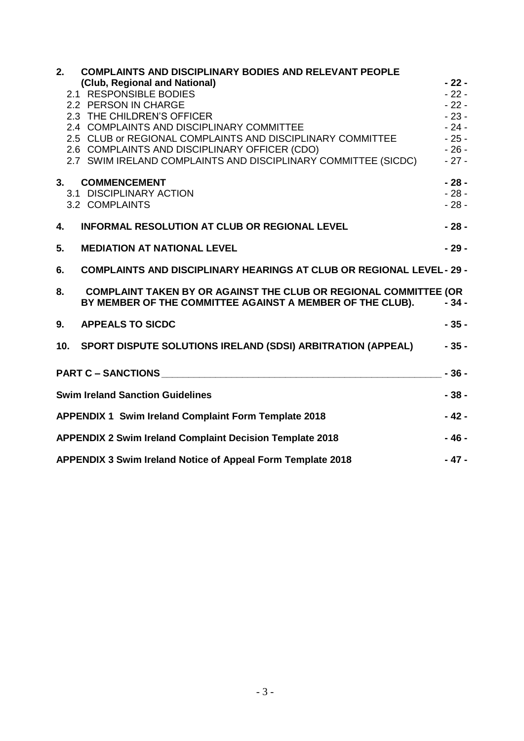| 2.              | <b>COMPLAINTS AND DISCIPLINARY BODIES AND RELEVANT PEOPLE</b>                                                                                                                                                                  |        |
|-----------------|--------------------------------------------------------------------------------------------------------------------------------------------------------------------------------------------------------------------------------|--------|
|                 | (Club, Regional and National)                                                                                                                                                                                                  | $-22-$ |
|                 | 2.1 RESPONSIBLE BODIES                                                                                                                                                                                                         | $-22-$ |
|                 | 2.2 PERSON IN CHARGE                                                                                                                                                                                                           | $-22-$ |
|                 | 2.3 THE CHILDREN'S OFFICER                                                                                                                                                                                                     | $-23-$ |
|                 | 2.4 COMPLAINTS AND DISCIPLINARY COMMITTEE                                                                                                                                                                                      | $-24-$ |
|                 | 2.5 CLUB or REGIONAL COMPLAINTS AND DISCIPLINARY COMMITTEE                                                                                                                                                                     | $-25-$ |
|                 | 2.6 COMPLAINTS AND DISCIPLINARY OFFICER (CDO)                                                                                                                                                                                  | $-26-$ |
|                 | 2.7 SWIM IRELAND COMPLAINTS AND DISCIPLINARY COMMITTEE (SICDC)                                                                                                                                                                 | $-27-$ |
|                 | 3. COMMENCEMENT                                                                                                                                                                                                                | $-28-$ |
|                 | 3.1 DISCIPLINARY ACTION                                                                                                                                                                                                        | $-28-$ |
|                 | 3.2 COMPLAINTS                                                                                                                                                                                                                 | $-28-$ |
| 4.              | <b>INFORMAL RESOLUTION AT CLUB OR REGIONAL LEVEL</b>                                                                                                                                                                           | $-28-$ |
| 5.              | <b>MEDIATION AT NATIONAL LEVEL</b>                                                                                                                                                                                             | $-29-$ |
| 6.              | <b>COMPLAINTS AND DISCIPLINARY HEARINGS AT CLUB OR REGIONAL LEVEL-29 -</b>                                                                                                                                                     |        |
| 8.              | <b>COMPLAINT TAKEN BY OR AGAINST THE CLUB OR REGIONAL COMMITTEE (OR</b><br>BY MEMBER OF THE COMMITTEE AGAINST A MEMBER OF THE CLUB).                                                                                           | $-34-$ |
| 9.              | <b>APPEALS TO SICDC</b>                                                                                                                                                                                                        | $-35-$ |
| 10 <sub>1</sub> | <b>SPORT DISPUTE SOLUTIONS IRELAND (SDSI) ARBITRATION (APPEAL)</b>                                                                                                                                                             | $-35-$ |
|                 | PART C - SANCTIONS NAME AND RESERVE TO A SERIES AND RESERVE TO A SERIES OF THE SERIES OF THE SERIES OF THE SERIES OF THE SERIES OF THE SERIES OF THE SERIES OF THE SERIES OF THE SERIES OF THE SERIES OF THE SERIES OF THE SER | $-36-$ |
|                 | <b>Swim Ireland Sanction Guidelines</b>                                                                                                                                                                                        | $-38-$ |
|                 | APPENDIX 1 Swim Ireland Complaint Form Template 2018                                                                                                                                                                           | $-42-$ |
|                 | <b>APPENDIX 2 Swim Ireland Complaint Decision Template 2018</b>                                                                                                                                                                | $-46-$ |
|                 | APPENDIX 3 Swim Ireland Notice of Appeal Form Template 2018                                                                                                                                                                    | $-47-$ |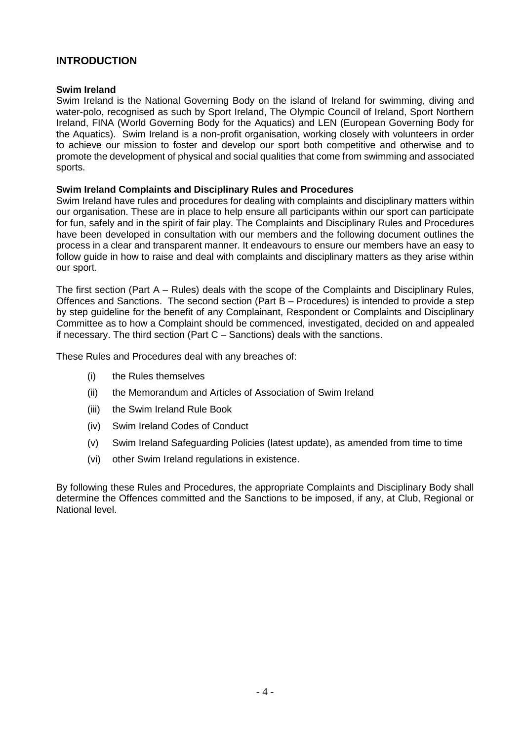# <span id="page-3-0"></span>**INTRODUCTION**

#### **Swim Ireland**

Swim Ireland is the National Governing Body on the island of Ireland for swimming, diving and water-polo, recognised as such by Sport Ireland, The Olympic Council of Ireland, Sport Northern Ireland, FINA (World Governing Body for the Aquatics) and LEN (European Governing Body for the Aquatics). Swim Ireland is a non-profit organisation, working closely with volunteers in order to achieve our mission to foster and develop our sport both competitive and otherwise and to promote the development of physical and social qualities that come from swimming and associated sports.

#### **Swim Ireland Complaints and Disciplinary Rules and Procedures**

Swim Ireland have rules and procedures for dealing with complaints and disciplinary matters within our organisation. These are in place to help ensure all participants within our sport can participate for fun, safely and in the spirit of fair play. The Complaints and Disciplinary Rules and Procedures have been developed in consultation with our members and the following document outlines the process in a clear and transparent manner. It endeavours to ensure our members have an easy to follow guide in how to raise and deal with complaints and disciplinary matters as they arise within our sport.

The first section (Part A – Rules) deals with the scope of the Complaints and Disciplinary Rules, Offences and Sanctions. The second section (Part B – Procedures) is intended to provide a step by step guideline for the benefit of any Complainant, Respondent or Complaints and Disciplinary Committee as to how a Complaint should be commenced, investigated, decided on and appealed if necessary. The third section (Part C – Sanctions) deals with the sanctions.

These Rules and Procedures deal with any breaches of:

- (i) the Rules themselves
- (ii) the Memorandum and Articles of Association of Swim Ireland
- (iii) the Swim Ireland Rule Book
- (iv) Swim Ireland Codes of Conduct
- (v) Swim Ireland Safeguarding Policies (latest update), as amended from time to time
- (vi) other Swim Ireland regulations in existence.

By following these Rules and Procedures, the appropriate Complaints and Disciplinary Body shall determine the Offences committed and the Sanctions to be imposed, if any, at Club, Regional or National level.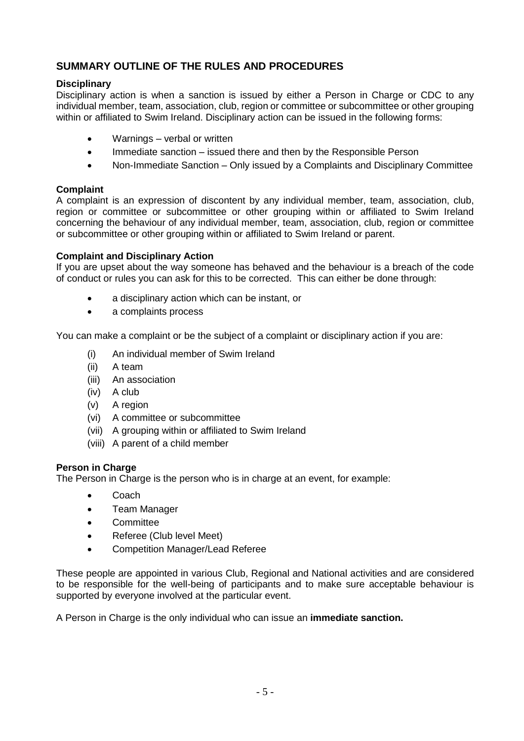# <span id="page-4-0"></span>**SUMMARY OUTLINE OF THE RULES AND PROCEDURES**

# **Disciplinary**

Disciplinary action is when a sanction is issued by either a Person in Charge or CDC to any individual member, team, association, club, region or committee or subcommittee or other grouping within or affiliated to Swim Ireland. Disciplinary action can be issued in the following forms:

- Warnings verbal or written
- Immediate sanction issued there and then by the Responsible Person
- Non-Immediate Sanction Only issued by a Complaints and Disciplinary Committee

# **Complaint**

A complaint is an expression of discontent by any individual member, team, association, club, region or committee or subcommittee or other grouping within or affiliated to Swim Ireland concerning the behaviour of any individual member, team, association, club, region or committee or subcommittee or other grouping within or affiliated to Swim Ireland or parent.

### **Complaint and Disciplinary Action**

If you are upset about the way someone has behaved and the behaviour is a breach of the code of conduct or rules you can ask for this to be corrected. This can either be done through:

- a disciplinary action which can be instant, or
- a complaints process

You can make a complaint or be the subject of a complaint or disciplinary action if you are:

- (i) An individual member of Swim Ireland
- (ii) A team
- (iii) An association
- (iv) A club
- (v) A region
- (vi) A committee or subcommittee
- (vii) A grouping within or affiliated to Swim Ireland
- (viii) A parent of a child member

### **Person in Charge**

The Person in Charge is the person who is in charge at an event, for example:

- Coach
- Team Manager
- Committee
- Referee (Club level Meet)
- Competition Manager/Lead Referee

These people are appointed in various Club, Regional and National activities and are considered to be responsible for the well-being of participants and to make sure acceptable behaviour is supported by everyone involved at the particular event.

A Person in Charge is the only individual who can issue an **immediate sanction.**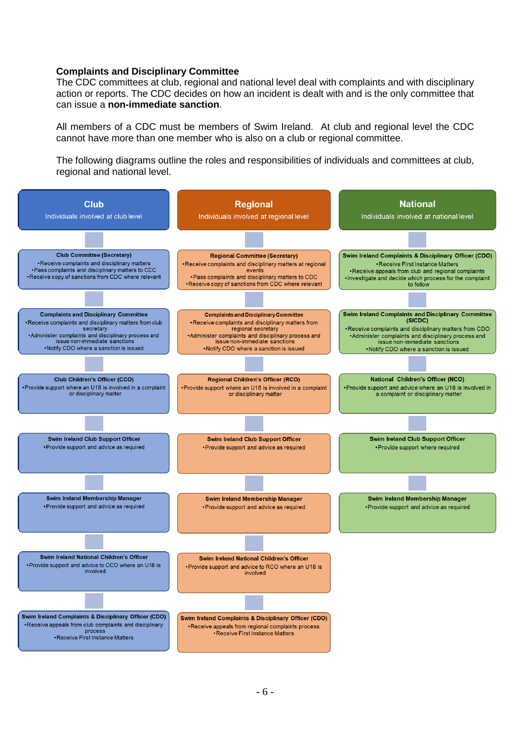#### **Complaints and Disciplinary Committee**

The CDC committees at club, regional and national level deal with complaints and with disciplinary action or reports. The CDC decides on how an incident is dealt with and is the only committee that can issue a **non-immediate sanction**.

All members of a CDC must be members of Swim Ireland. At club and regional level the CDC cannot have more than one member who is also on a club or regional committee.

The following diagrams outline the roles and responsibilities of individuals and committees at club, regional and national level.

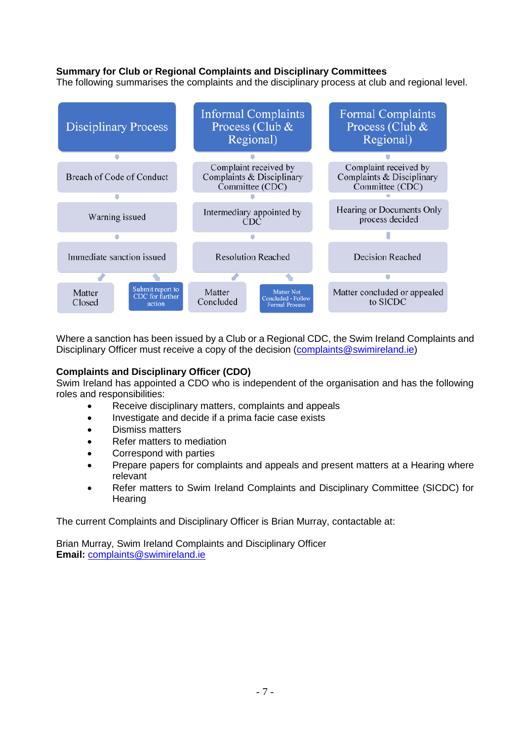### **Summary for Club or Regional Complaints and Disciplinary Committees**

The following summarises the complaints and the disciplinary process at club and regional level.



Where a sanction has been issued by a Club or a Regional CDC, the Swim Ireland Complaints and Disciplinary Officer must receive a copy of the decision [\(complaints@swimireland.ie\)](mailto:complaints@swimireland.ie)

### **Complaints and Disciplinary Officer (CDO)**

Swim Ireland has appointed a CDO who is independent of the organisation and has the following roles and responsibilities:

- Receive disciplinary matters, complaints and appeals
- Investigate and decide if a prima facie case exists
- Dismiss matters
- Refer matters to mediation
- Correspond with parties
- Prepare papers for complaints and appeals and present matters at a Hearing where relevant
- Refer matters to Swim Ireland Complaints and Disciplinary Committee (SICDC) for Hearing

The current Complaints and Disciplinary Officer is Brian Murray, contactable at:

Brian Murray, Swim Ireland Complaints and Disciplinary Officer **Email:** [complaints@swimireland.ie](mailto:complaints@swimireland.ie)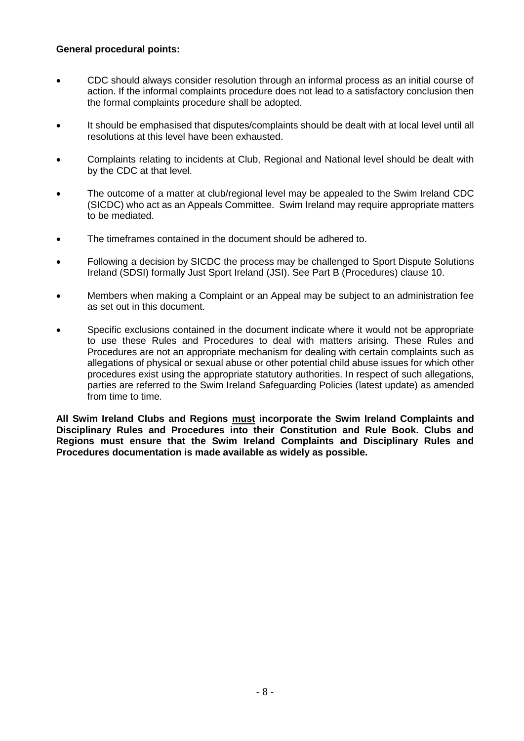### <span id="page-7-0"></span>**General procedural points:**

- CDC should always consider resolution through an informal process as an initial course of action. If the informal complaints procedure does not lead to a satisfactory conclusion then the formal complaints procedure shall be adopted.
- It should be emphasised that disputes/complaints should be dealt with at local level until all resolutions at this level have been exhausted.
- Complaints relating to incidents at Club, Regional and National level should be dealt with by the CDC at that level.
- The outcome of a matter at club/regional level may be appealed to the Swim Ireland CDC (SICDC) who act as an Appeals Committee. Swim Ireland may require appropriate matters to be mediated.
- The timeframes contained in the document should be adhered to.
- Following a decision by SICDC the process may be challenged to Sport Dispute Solutions Ireland (SDSI) formally Just Sport Ireland (JSI). See Part B (Procedures) clause 10.
- Members when making a Complaint or an Appeal may be subject to an administration fee as set out in this document.
- Specific exclusions contained in the document indicate where it would not be appropriate to use these Rules and Procedures to deal with matters arising. These Rules and Procedures are not an appropriate mechanism for dealing with certain complaints such as allegations of physical or sexual abuse or other potential child abuse issues for which other procedures exist using the appropriate statutory authorities. In respect of such allegations, parties are referred to the Swim Ireland Safeguarding Policies (latest update) as amended from time to time.

**All Swim Ireland Clubs and Regions must incorporate the Swim Ireland Complaints and Disciplinary Rules and Procedures into their Constitution and Rule Book. Clubs and Regions must ensure that the Swim Ireland Complaints and Disciplinary Rules and Procedures documentation is made available as widely as possible.**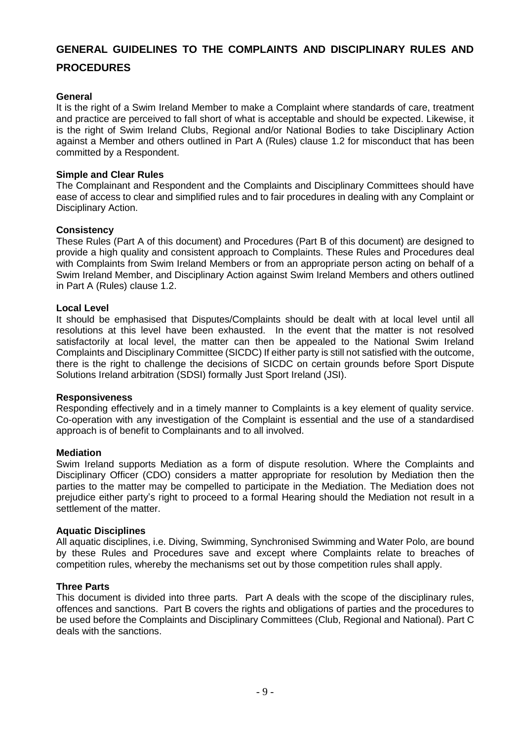# <span id="page-8-0"></span>**GENERAL GUIDELINES TO THE COMPLAINTS AND DISCIPLINARY RULES AND PROCEDURES**

### **General**

It is the right of a Swim Ireland Member to make a Complaint where standards of care, treatment and practice are perceived to fall short of what is acceptable and should be expected. Likewise, it is the right of Swim Ireland Clubs, Regional and/or National Bodies to take Disciplinary Action against a Member and others outlined in Part A (Rules) clause 1.2 for misconduct that has been committed by a Respondent.

### **Simple and Clear Rules**

The Complainant and Respondent and the Complaints and Disciplinary Committees should have ease of access to clear and simplified rules and to fair procedures in dealing with any Complaint or Disciplinary Action.

### **Consistency**

These Rules (Part A of this document) and Procedures (Part B of this document) are designed to provide a high quality and consistent approach to Complaints. These Rules and Procedures deal with Complaints from Swim Ireland Members or from an appropriate person acting on behalf of a Swim Ireland Member, and Disciplinary Action against Swim Ireland Members and others outlined in Part A (Rules) clause 1.2.

### **Local Level**

It should be emphasised that Disputes/Complaints should be dealt with at local level until all resolutions at this level have been exhausted. In the event that the matter is not resolved satisfactorily at local level, the matter can then be appealed to the National Swim Ireland Complaints and Disciplinary Committee (SICDC) If either party is still not satisfied with the outcome, there is the right to challenge the decisions of SICDC on certain grounds before Sport Dispute Solutions Ireland arbitration (SDSI) formally Just Sport Ireland (JSI).

### **Responsiveness**

Responding effectively and in a timely manner to Complaints is a key element of quality service. Co-operation with any investigation of the Complaint is essential and the use of a standardised approach is of benefit to Complainants and to all involved.

### **Mediation**

Swim Ireland supports Mediation as a form of dispute resolution. Where the Complaints and Disciplinary Officer (CDO) considers a matter appropriate for resolution by Mediation then the parties to the matter may be compelled to participate in the Mediation. The Mediation does not prejudice either party's right to proceed to a formal Hearing should the Mediation not result in a settlement of the matter.

### **Aquatic Disciplines**

All aquatic disciplines, i.e. Diving, Swimming, Synchronised Swimming and Water Polo, are bound by these Rules and Procedures save and except where Complaints relate to breaches of competition rules, whereby the mechanisms set out by those competition rules shall apply.

### **Three Parts**

This document is divided into three parts. Part A deals with the scope of the disciplinary rules, offences and sanctions. Part B covers the rights and obligations of parties and the procedures to be used before the Complaints and Disciplinary Committees (Club, Regional and National). Part C deals with the sanctions.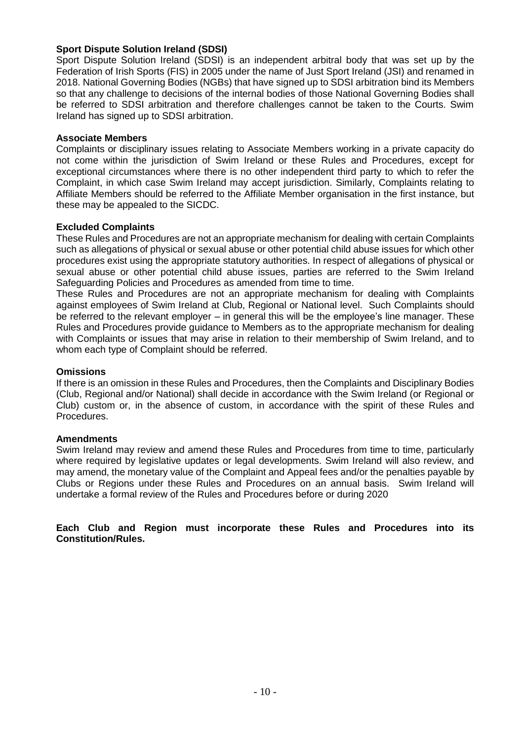### **Sport Dispute Solution Ireland (SDSI)**

Sport Dispute Solution Ireland (SDSI) is an independent arbitral body that was set up by the Federation of Irish Sports (FIS) in 2005 under the name of Just Sport Ireland (JSI) and renamed in 2018. National Governing Bodies (NGBs) that have signed up to SDSI arbitration bind its Members so that any challenge to decisions of the internal bodies of those National Governing Bodies shall be referred to SDSI arbitration and therefore challenges cannot be taken to the Courts. Swim Ireland has signed up to SDSI arbitration.

### **Associate Members**

Complaints or disciplinary issues relating to Associate Members working in a private capacity do not come within the jurisdiction of Swim Ireland or these Rules and Procedures, except for exceptional circumstances where there is no other independent third party to which to refer the Complaint, in which case Swim Ireland may accept jurisdiction. Similarly, Complaints relating to Affiliate Members should be referred to the Affiliate Member organisation in the first instance, but these may be appealed to the SICDC.

### **Excluded Complaints**

These Rules and Procedures are not an appropriate mechanism for dealing with certain Complaints such as allegations of physical or sexual abuse or other potential child abuse issues for which other procedures exist using the appropriate statutory authorities. In respect of allegations of physical or sexual abuse or other potential child abuse issues, parties are referred to the Swim Ireland Safeguarding Policies and Procedures as amended from time to time.

These Rules and Procedures are not an appropriate mechanism for dealing with Complaints against employees of Swim Ireland at Club, Regional or National level. Such Complaints should be referred to the relevant employer – in general this will be the employee's line manager. These Rules and Procedures provide guidance to Members as to the appropriate mechanism for dealing with Complaints or issues that may arise in relation to their membership of Swim Ireland, and to whom each type of Complaint should be referred.

### **Omissions**

If there is an omission in these Rules and Procedures, then the Complaints and Disciplinary Bodies (Club, Regional and/or National) shall decide in accordance with the Swim Ireland (or Regional or Club) custom or, in the absence of custom, in accordance with the spirit of these Rules and Procedures.

### **Amendments**

Swim Ireland may review and amend these Rules and Procedures from time to time, particularly where required by legislative updates or legal developments. Swim Ireland will also review, and may amend, the monetary value of the Complaint and Appeal fees and/or the penalties payable by Clubs or Regions under these Rules and Procedures on an annual basis. Swim Ireland will undertake a formal review of the Rules and Procedures before or during 2020

**Each Club and Region must incorporate these Rules and Procedures into its Constitution/Rules.**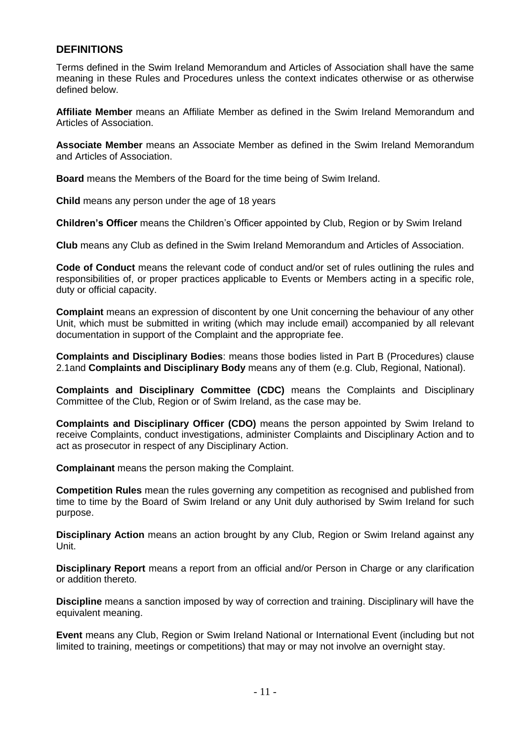# <span id="page-10-0"></span>**DEFINITIONS**

Terms defined in the Swim Ireland Memorandum and Articles of Association shall have the same meaning in these Rules and Procedures unless the context indicates otherwise or as otherwise defined below.

**Affiliate Member** means an Affiliate Member as defined in the Swim Ireland Memorandum and Articles of Association.

**Associate Member** means an Associate Member as defined in the Swim Ireland Memorandum and Articles of Association.

**Board** means the Members of the Board for the time being of Swim Ireland.

**Child** means any person under the age of 18 years

**Children's Officer** means the Children's Officer appointed by Club, Region or by Swim Ireland

**Club** means any Club as defined in the Swim Ireland Memorandum and Articles of Association.

**Code of Conduct** means the relevant code of conduct and/or set of rules outlining the rules and responsibilities of, or proper practices applicable to Events or Members acting in a specific role, duty or official capacity.

**Complaint** means an expression of discontent by one Unit concerning the behaviour of any other Unit, which must be submitted in writing (which may include email) accompanied by all relevant documentation in support of the Complaint and the appropriate fee.

**Complaints and Disciplinary Bodies**: means those bodies listed in Part B (Procedures) clause 2.1and **Complaints and Disciplinary Body** means any of them (e.g. Club, Regional, National).

**Complaints and Disciplinary Committee (CDC)** means the Complaints and Disciplinary Committee of the Club, Region or of Swim Ireland, as the case may be.

**Complaints and Disciplinary Officer (CDO)** means the person appointed by Swim Ireland to receive Complaints, conduct investigations, administer Complaints and Disciplinary Action and to act as prosecutor in respect of any Disciplinary Action.

**Complainant** means the person making the Complaint.

**Competition Rules** mean the rules governing any competition as recognised and published from time to time by the Board of Swim Ireland or any Unit duly authorised by Swim Ireland for such purpose.

**Disciplinary Action** means an action brought by any Club, Region or Swim Ireland against any Unit.

**Disciplinary Report** means a report from an official and/or Person in Charge or any clarification or addition thereto.

**Discipline** means a sanction imposed by way of correction and training. Disciplinary will have the equivalent meaning.

**Event** means any Club, Region or Swim Ireland National or International Event (including but not limited to training, meetings or competitions) that may or may not involve an overnight stay.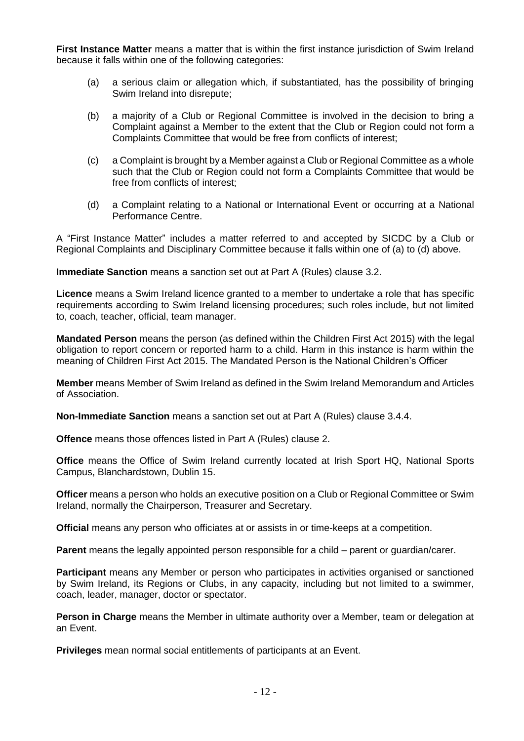**First Instance Matter** means a matter that is within the first instance jurisdiction of Swim Ireland because it falls within one of the following categories:

- (a) a serious claim or allegation which, if substantiated, has the possibility of bringing Swim Ireland into disrepute;
- (b) a majority of a Club or Regional Committee is involved in the decision to bring a Complaint against a Member to the extent that the Club or Region could not form a Complaints Committee that would be free from conflicts of interest;
- (c) a Complaint is brought by a Member against a Club or Regional Committee as a whole such that the Club or Region could not form a Complaints Committee that would be free from conflicts of interest;
- (d) a Complaint relating to a National or International Event or occurring at a National Performance Centre.

A "First Instance Matter" includes a matter referred to and accepted by SICDC by a Club or Regional Complaints and Disciplinary Committee because it falls within one of (a) to (d) above.

**Immediate Sanction** means a sanction set out at Part A (Rules) clause 3.2.

**Licence** means a Swim Ireland licence granted to a member to undertake a role that has specific requirements according to Swim Ireland licensing procedures; such roles include, but not limited to, coach, teacher, official, team manager.

**Mandated Person** means the person (as defined within the Children First Act 2015) with the legal obligation to report concern or reported harm to a child. Harm in this instance is harm within the meaning of Children First Act 2015. The Mandated Person is the National Children's Officer

**Member** means Member of Swim Ireland as defined in the Swim Ireland Memorandum and Articles of Association.

**Non-Immediate Sanction** means a sanction set out at Part A (Rules) clause 3.4.4.

**Offence** means those offences listed in Part A (Rules) clause 2.

**Office** means the Office of Swim Ireland currently located at Irish Sport HQ, National Sports Campus, Blanchardstown, Dublin 15.

**Officer** means a person who holds an executive position on a Club or Regional Committee or Swim Ireland, normally the Chairperson, Treasurer and Secretary.

**Official** means any person who officiates at or assists in or time-keeps at a competition.

**Parent** means the legally appointed person responsible for a child – parent or guardian/carer.

**Participant** means any Member or person who participates in activities organised or sanctioned by Swim Ireland, its Regions or Clubs, in any capacity, including but not limited to a swimmer, coach, leader, manager, doctor or spectator.

**Person in Charge** means the Member in ultimate authority over a Member, team or delegation at an Event.

**Privileges** mean normal social entitlements of participants at an Event.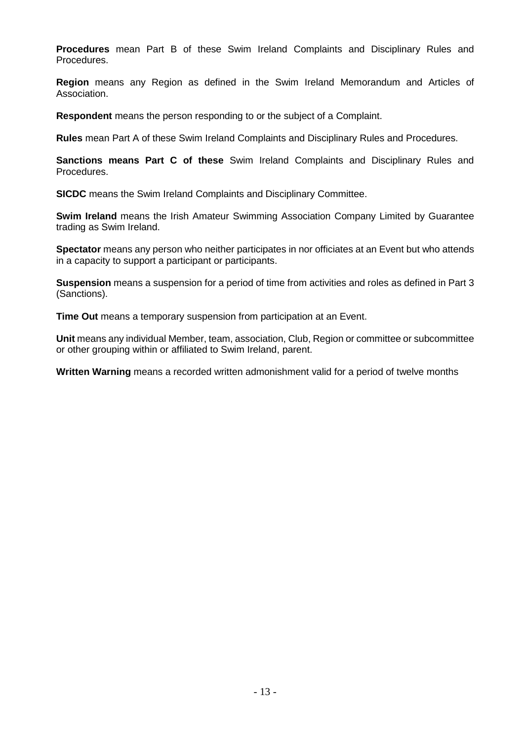**Procedures** mean Part B of these Swim Ireland Complaints and Disciplinary Rules and Procedures.

**Region** means any Region as defined in the Swim Ireland Memorandum and Articles of Association.

**Respondent** means the person responding to or the subject of a Complaint.

**Rules** mean Part A of these Swim Ireland Complaints and Disciplinary Rules and Procedures.

**Sanctions means Part C of these** Swim Ireland Complaints and Disciplinary Rules and Procedures.

**SICDC** means the Swim Ireland Complaints and Disciplinary Committee.

**Swim Ireland** means the Irish Amateur Swimming Association Company Limited by Guarantee trading as Swim Ireland.

**Spectator** means any person who neither participates in nor officiates at an Event but who attends in a capacity to support a participant or participants.

**Suspension** means a suspension for a period of time from activities and roles as defined in Part 3 (Sanctions).

**Time Out** means a temporary suspension from participation at an Event.

**Unit** means any individual Member, team, association, Club, Region or committee or subcommittee or other grouping within or affiliated to Swim Ireland, parent.

**Written Warning** means a recorded written admonishment valid for a period of twelve months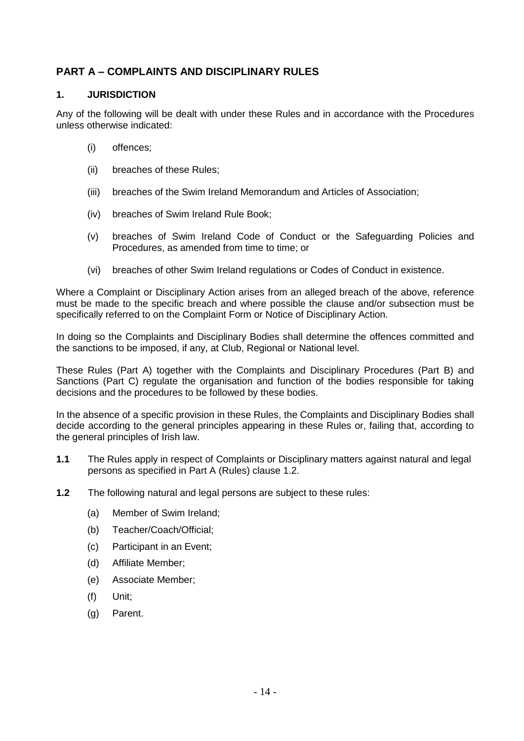# <span id="page-13-0"></span>**PART A – COMPLAINTS AND DISCIPLINARY RULES**

## <span id="page-13-1"></span>**1. JURISDICTION**

Any of the following will be dealt with under these Rules and in accordance with the Procedures unless otherwise indicated:

- (i) offences;
- (ii) breaches of these Rules;
- (iii) breaches of the Swim Ireland Memorandum and Articles of Association;
- (iv) breaches of Swim Ireland Rule Book;
- (v) breaches of Swim Ireland Code of Conduct or the Safeguarding Policies and Procedures, as amended from time to time; or
- (vi) breaches of other Swim Ireland regulations or Codes of Conduct in existence.

Where a Complaint or Disciplinary Action arises from an alleged breach of the above, reference must be made to the specific breach and where possible the clause and/or subsection must be specifically referred to on the Complaint Form or Notice of Disciplinary Action.

In doing so the Complaints and Disciplinary Bodies shall determine the offences committed and the sanctions to be imposed, if any, at Club, Regional or National level.

These Rules (Part A) together with the Complaints and Disciplinary Procedures (Part B) and Sanctions (Part C) regulate the organisation and function of the bodies responsible for taking decisions and the procedures to be followed by these bodies.

In the absence of a specific provision in these Rules, the Complaints and Disciplinary Bodies shall decide according to the general principles appearing in these Rules or, failing that, according to the general principles of Irish law.

- **1.1** The Rules apply in respect of Complaints or Disciplinary matters against natural and legal persons as specified in Part A (Rules) clause 1.2.
- **1.2** The following natural and legal persons are subject to these rules:
	- (a) Member of Swim Ireland;
	- (b) Teacher/Coach/Official;
	- (c) Participant in an Event;
	- (d) Affiliate Member;
	- (e) Associate Member;
	- (f) Unit;
	- (g) Parent.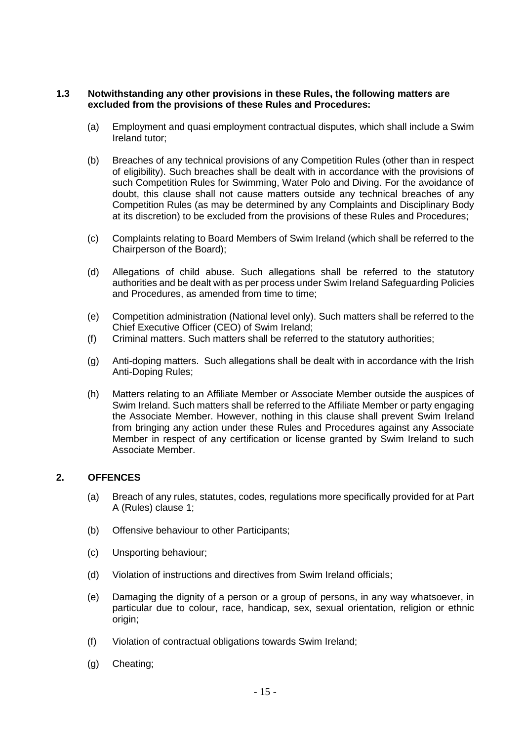#### **1.3 Notwithstanding any other provisions in these Rules, the following matters are excluded from the provisions of these Rules and Procedures:**

- (a) Employment and quasi employment contractual disputes, which shall include a Swim Ireland tutor;
- (b) Breaches of any technical provisions of any Competition Rules (other than in respect of eligibility). Such breaches shall be dealt with in accordance with the provisions of such Competition Rules for Swimming, Water Polo and Diving. For the avoidance of doubt, this clause shall not cause matters outside any technical breaches of any Competition Rules (as may be determined by any Complaints and Disciplinary Body at its discretion) to be excluded from the provisions of these Rules and Procedures;
- (c) Complaints relating to Board Members of Swim Ireland (which shall be referred to the Chairperson of the Board);
- (d) Allegations of child abuse. Such allegations shall be referred to the statutory authorities and be dealt with as per process under Swim Ireland Safeguarding Policies and Procedures, as amended from time to time;
- (e) Competition administration (National level only). Such matters shall be referred to the Chief Executive Officer (CEO) of Swim Ireland;
- (f) Criminal matters. Such matters shall be referred to the statutory authorities;
- (g) Anti-doping matters. Such allegations shall be dealt with in accordance with the Irish Anti-Doping Rules;
- (h) Matters relating to an Affiliate Member or Associate Member outside the auspices of Swim Ireland. Such matters shall be referred to the Affiliate Member or party engaging the Associate Member. However, nothing in this clause shall prevent Swim Ireland from bringing any action under these Rules and Procedures against any Associate Member in respect of any certification or license granted by Swim Ireland to such Associate Member.

# <span id="page-14-0"></span>**2. OFFENCES**

- (a) Breach of any rules, statutes, codes, regulations more specifically provided for at Part A (Rules) clause 1;
- (b) Offensive behaviour to other Participants;
- (c) Unsporting behaviour;
- (d) Violation of instructions and directives from Swim Ireland officials;
- (e) Damaging the dignity of a person or a group of persons, in any way whatsoever, in particular due to colour, race, handicap, sex, sexual orientation, religion or ethnic origin;
- (f) Violation of contractual obligations towards Swim Ireland;
- (g) Cheating;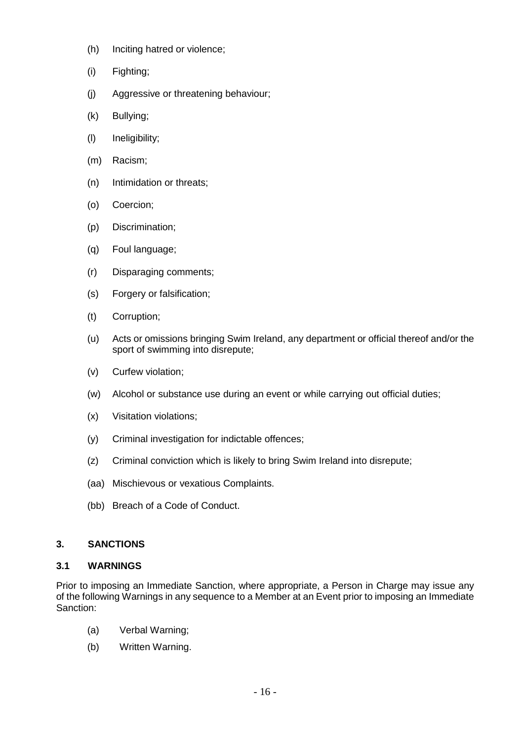- (h) Inciting hatred or violence;
- (i) Fighting;
- (j) Aggressive or threatening behaviour;
- (k) Bullying;
- (l) Ineligibility;
- (m) Racism;
- (n) Intimidation or threats;
- (o) Coercion;
- (p) Discrimination;
- (q) Foul language;
- (r) Disparaging comments;
- (s) Forgery or falsification;
- (t) Corruption;
- (u) Acts or omissions bringing Swim Ireland, any department or official thereof and/or the sport of swimming into disrepute;
- (v) Curfew violation;
- (w) Alcohol or substance use during an event or while carrying out official duties;
- (x) Visitation violations;
- (y) Criminal investigation for indictable offences;
- (z) Criminal conviction which is likely to bring Swim Ireland into disrepute;
- (aa) Mischievous or vexatious Complaints.
- (bb) Breach of a Code of Conduct.

### <span id="page-15-0"></span>**3. SANCTIONS**

### <span id="page-15-1"></span>**3.1 WARNINGS**

Prior to imposing an Immediate Sanction, where appropriate, a Person in Charge may issue any of the following Warnings in any sequence to a Member at an Event prior to imposing an Immediate Sanction:

- (a) Verbal Warning;
- (b) Written Warning.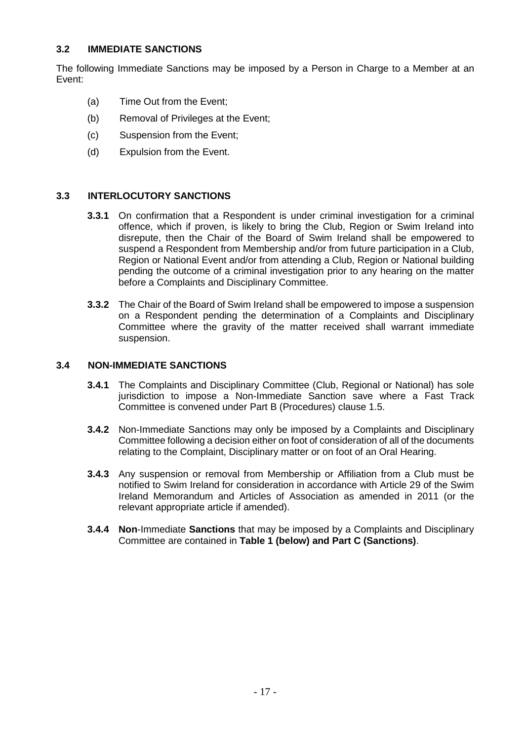# <span id="page-16-0"></span>**3.2 IMMEDIATE SANCTIONS**

The following Immediate Sanctions may be imposed by a Person in Charge to a Member at an Event:

- (a) Time Out from the Event;
- (b) Removal of Privileges at the Event;
- (c) Suspension from the Event;
- (d) Expulsion from the Event.

### <span id="page-16-1"></span>**3.3 INTERLOCUTORY SANCTIONS**

- **3.3.1** On confirmation that a Respondent is under criminal investigation for a criminal offence, which if proven, is likely to bring the Club, Region or Swim Ireland into disrepute, then the Chair of the Board of Swim Ireland shall be empowered to suspend a Respondent from Membership and/or from future participation in a Club, Region or National Event and/or from attending a Club, Region or National building pending the outcome of a criminal investigation prior to any hearing on the matter before a Complaints and Disciplinary Committee.
- **3.3.2** The Chair of the Board of Swim Ireland shall be empowered to impose a suspension on a Respondent pending the determination of a Complaints and Disciplinary Committee where the gravity of the matter received shall warrant immediate suspension.

#### <span id="page-16-2"></span>**3.4 NON-IMMEDIATE SANCTIONS**

- **3.4.1** The Complaints and Disciplinary Committee (Club, Regional or National) has sole jurisdiction to impose a Non-Immediate Sanction save where a Fast Track Committee is convened under Part B (Procedures) clause 1.5.
- **3.4.2** Non-Immediate Sanctions may only be imposed by a Complaints and Disciplinary Committee following a decision either on foot of consideration of all of the documents relating to the Complaint, Disciplinary matter or on foot of an Oral Hearing.
- **3.4.3** Any suspension or removal from Membership or Affiliation from a Club must be notified to Swim Ireland for consideration in accordance with Article 29 of the Swim Ireland Memorandum and Articles of Association as amended in 2011 (or the relevant appropriate article if amended).
- **3.4.4 Non**-Immediate **Sanctions** that may be imposed by a Complaints and Disciplinary Committee are contained in **Table 1 (below) and Part C (Sanctions)**.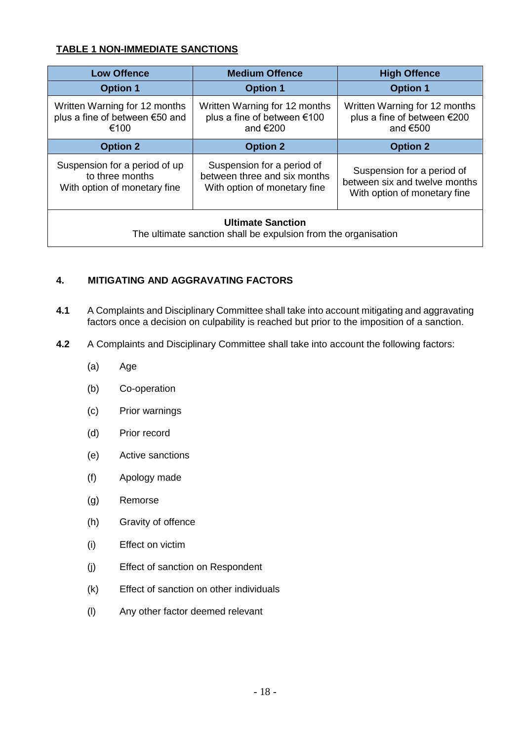# **TABLE 1 NON-IMMEDIATE SANCTIONS**

| <b>Low Offence</b>                                                                         | <b>Medium Offence</b>                                                                      | <b>High Offence</b>                                                                         |
|--------------------------------------------------------------------------------------------|--------------------------------------------------------------------------------------------|---------------------------------------------------------------------------------------------|
| <b>Option 1</b>                                                                            | <b>Option 1</b>                                                                            | <b>Option 1</b>                                                                             |
| Written Warning for 12 months<br>plus a fine of between €50 and<br>€100                    | Written Warning for 12 months<br>plus a fine of between €100<br>and $€200$                 | Written Warning for 12 months<br>plus a fine of between €200<br>and $€500$                  |
| <b>Option 2</b>                                                                            | <b>Option 2</b>                                                                            | <b>Option 2</b>                                                                             |
| Suspension for a period of up<br>to three months<br>With option of monetary fine           | Suspension for a period of<br>between three and six months<br>With option of monetary fine | Suspension for a period of<br>between six and twelve months<br>With option of monetary fine |
| <b>Ultimate Sanction</b><br>The ultimate sanction shall be expulsion from the organisation |                                                                                            |                                                                                             |

# <span id="page-17-0"></span>**4. MITIGATING AND AGGRAVATING FACTORS**

- **4.1** A Complaints and Disciplinary Committee shall take into account mitigating and aggravating factors once a decision on culpability is reached but prior to the imposition of a sanction.
- **4.2** A Complaints and Disciplinary Committee shall take into account the following factors:
	- (a) Age
	- (b) Co-operation
	- (c) Prior warnings
	- (d) Prior record
	- (e) Active sanctions
	- (f) Apology made
	- (g) Remorse
	- (h) Gravity of offence
	- (i) Effect on victim
	- (j) Effect of sanction on Respondent
	- (k) Effect of sanction on other individuals
	- (l) Any other factor deemed relevant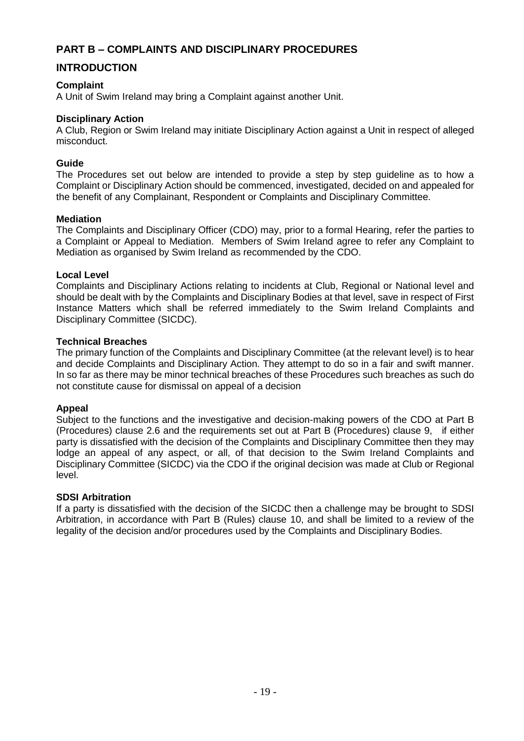# <span id="page-18-0"></span>**PART B – COMPLAINTS AND DISCIPLINARY PROCEDURES**

# <span id="page-18-1"></span>**INTRODUCTION**

### **Complaint**

A Unit of Swim Ireland may bring a Complaint against another Unit.

### **Disciplinary Action**

A Club, Region or Swim Ireland may initiate Disciplinary Action against a Unit in respect of alleged misconduct.

### **Guide**

The Procedures set out below are intended to provide a step by step guideline as to how a Complaint or Disciplinary Action should be commenced, investigated, decided on and appealed for the benefit of any Complainant, Respondent or Complaints and Disciplinary Committee.

### **Mediation**

The Complaints and Disciplinary Officer (CDO) may, prior to a formal Hearing, refer the parties to a Complaint or Appeal to Mediation. Members of Swim Ireland agree to refer any Complaint to Mediation as organised by Swim Ireland as recommended by the CDO.

### **Local Level**

Complaints and Disciplinary Actions relating to incidents at Club, Regional or National level and should be dealt with by the Complaints and Disciplinary Bodies at that level, save in respect of First Instance Matters which shall be referred immediately to the Swim Ireland Complaints and Disciplinary Committee (SICDC).

### **Technical Breaches**

The primary function of the Complaints and Disciplinary Committee (at the relevant level) is to hear and decide Complaints and Disciplinary Action. They attempt to do so in a fair and swift manner. In so far as there may be minor technical breaches of these Procedures such breaches as such do not constitute cause for dismissal on appeal of a decision

# **Appeal**

Subject to the functions and the investigative and decision-making powers of the CDO at Part B (Procedures) clause 2.6 and the requirements set out at Part B (Procedures) clause 9, if either party is dissatisfied with the decision of the Complaints and Disciplinary Committee then they may lodge an appeal of any aspect, or all, of that decision to the Swim Ireland Complaints and Disciplinary Committee (SICDC) via the CDO if the original decision was made at Club or Regional level.

### **SDSI Arbitration**

If a party is dissatisfied with the decision of the SICDC then a challenge may be brought to SDSI Arbitration, in accordance with Part B (Rules) clause 10, and shall be limited to a review of the legality of the decision and/or procedures used by the Complaints and Disciplinary Bodies.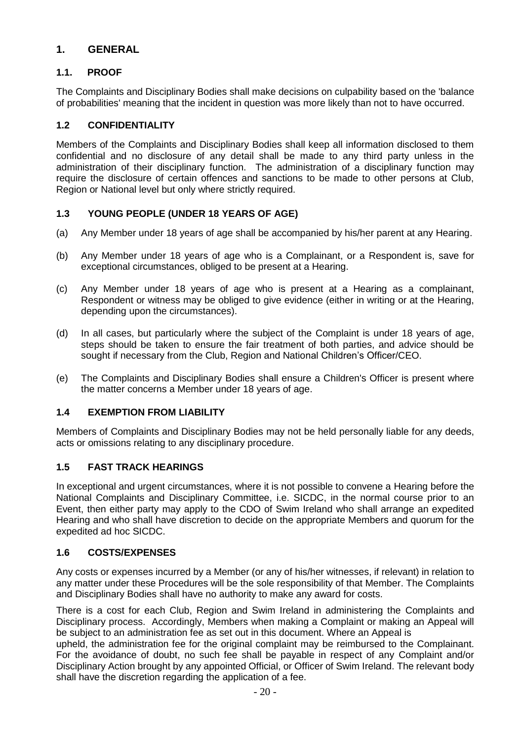# <span id="page-19-0"></span>**1. GENERAL**

# <span id="page-19-1"></span>**1.1. PROOF**

The Complaints and Disciplinary Bodies shall make decisions on culpability based on the 'balance of probabilities' meaning that the incident in question was more likely than not to have occurred.

# <span id="page-19-2"></span>**1.2 CONFIDENTIALITY**

Members of the Complaints and Disciplinary Bodies shall keep all information disclosed to them confidential and no disclosure of any detail shall be made to any third party unless in the administration of their disciplinary function. The administration of a disciplinary function may require the disclosure of certain offences and sanctions to be made to other persons at Club, Region or National level but only where strictly required.

# <span id="page-19-3"></span>**1.3 YOUNG PEOPLE (UNDER 18 YEARS OF AGE)**

- (a) Any Member under 18 years of age shall be accompanied by his/her parent at any Hearing.
- (b) Any Member under 18 years of age who is a Complainant, or a Respondent is, save for exceptional circumstances, obliged to be present at a Hearing.
- (c) Any Member under 18 years of age who is present at a Hearing as a complainant, Respondent or witness may be obliged to give evidence (either in writing or at the Hearing, depending upon the circumstances).
- (d) In all cases, but particularly where the subject of the Complaint is under 18 years of age, steps should be taken to ensure the fair treatment of both parties, and advice should be sought if necessary from the Club, Region and National Children's Officer/CEO.
- (e) The Complaints and Disciplinary Bodies shall ensure a Children's Officer is present where the matter concerns a Member under 18 years of age.

# <span id="page-19-4"></span>**1.4 EXEMPTION FROM LIABILITY**

Members of Complaints and Disciplinary Bodies may not be held personally liable for any deeds, acts or omissions relating to any disciplinary procedure.

# <span id="page-19-5"></span>**1.5 FAST TRACK HEARINGS**

In exceptional and urgent circumstances, where it is not possible to convene a Hearing before the National Complaints and Disciplinary Committee, i.e. SICDC, in the normal course prior to an Event, then either party may apply to the CDO of Swim Ireland who shall arrange an expedited Hearing and who shall have discretion to decide on the appropriate Members and quorum for the expedited ad hoc SICDC.

# <span id="page-19-6"></span>**1.6 COSTS/EXPENSES**

Any costs or expenses incurred by a Member (or any of his/her witnesses, if relevant) in relation to any matter under these Procedures will be the sole responsibility of that Member. The Complaints and Disciplinary Bodies shall have no authority to make any award for costs.

There is a cost for each Club, Region and Swim Ireland in administering the Complaints and Disciplinary process. Accordingly, Members when making a Complaint or making an Appeal will be subject to an administration fee as set out in this document. Where an Appeal is

upheld, the administration fee for the original complaint may be reimbursed to the Complainant. For the avoidance of doubt, no such fee shall be payable in respect of any Complaint and/or Disciplinary Action brought by any appointed Official, or Officer of Swim Ireland. The relevant body shall have the discretion regarding the application of a fee.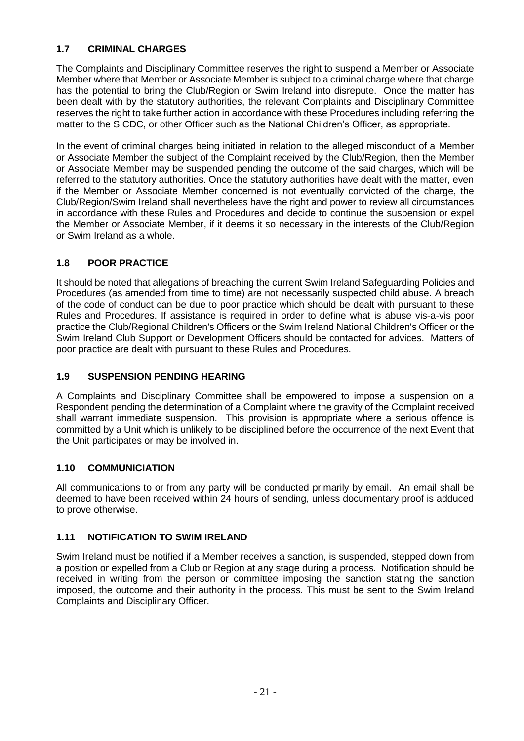# <span id="page-20-0"></span>**1.7 CRIMINAL CHARGES**

The Complaints and Disciplinary Committee reserves the right to suspend a Member or Associate Member where that Member or Associate Member is subject to a criminal charge where that charge has the potential to bring the Club/Region or Swim Ireland into disrepute. Once the matter has been dealt with by the statutory authorities, the relevant Complaints and Disciplinary Committee reserves the right to take further action in accordance with these Procedures including referring the matter to the SICDC, or other Officer such as the National Children's Officer, as appropriate.

In the event of criminal charges being initiated in relation to the alleged misconduct of a Member or Associate Member the subject of the Complaint received by the Club/Region, then the Member or Associate Member may be suspended pending the outcome of the said charges, which will be referred to the statutory authorities. Once the statutory authorities have dealt with the matter, even if the Member or Associate Member concerned is not eventually convicted of the charge, the Club/Region/Swim Ireland shall nevertheless have the right and power to review all circumstances in accordance with these Rules and Procedures and decide to continue the suspension or expel the Member or Associate Member, if it deems it so necessary in the interests of the Club/Region or Swim Ireland as a whole.

# <span id="page-20-1"></span>**1.8 POOR PRACTICE**

It should be noted that allegations of breaching the current Swim Ireland Safeguarding Policies and Procedures (as amended from time to time) are not necessarily suspected child abuse. A breach of the code of conduct can be due to poor practice which should be dealt with pursuant to these Rules and Procedures. If assistance is required in order to define what is abuse vis-a-vis poor practice the Club/Regional Children's Officers or the Swim Ireland National Children's Officer or the Swim Ireland Club Support or Development Officers should be contacted for advices. Matters of poor practice are dealt with pursuant to these Rules and Procedures.

# <span id="page-20-2"></span>**1.9 SUSPENSION PENDING HEARING**

A Complaints and Disciplinary Committee shall be empowered to impose a suspension on a Respondent pending the determination of a Complaint where the gravity of the Complaint received shall warrant immediate suspension. This provision is appropriate where a serious offence is committed by a Unit which is unlikely to be disciplined before the occurrence of the next Event that the Unit participates or may be involved in.

# <span id="page-20-3"></span>**1.10 COMMUNICIATION**

All communications to or from any party will be conducted primarily by email. An email shall be deemed to have been received within 24 hours of sending, unless documentary proof is adduced to prove otherwise.

# <span id="page-20-4"></span>**1.11 NOTIFICATION TO SWIM IRELAND**

Swim Ireland must be notified if a Member receives a sanction, is suspended, stepped down from a position or expelled from a Club or Region at any stage during a process. Notification should be received in writing from the person or committee imposing the sanction stating the sanction imposed, the outcome and their authority in the process. This must be sent to the Swim Ireland Complaints and Disciplinary Officer.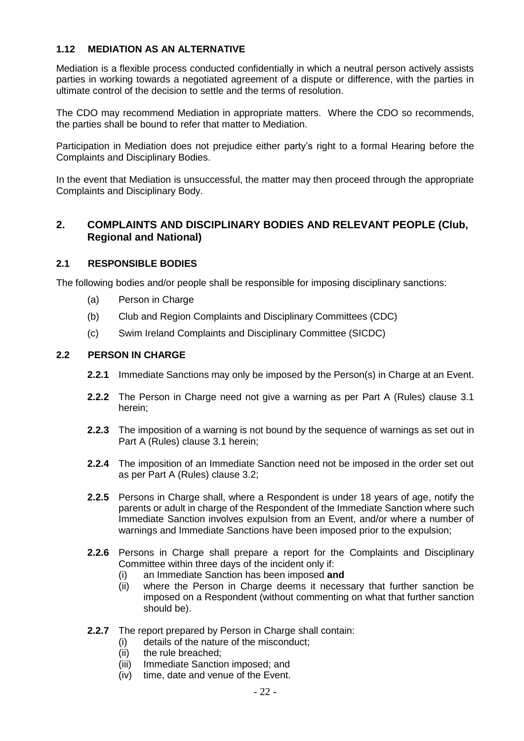## <span id="page-21-0"></span>**1.12 MEDIATION AS AN ALTERNATIVE**

Mediation is a flexible process conducted confidentially in which a neutral person actively assists parties in working towards a negotiated agreement of a dispute or difference, with the parties in ultimate control of the decision to settle and the terms of resolution.

The CDO may recommend Mediation in appropriate matters. Where the CDO so recommends, the parties shall be bound to refer that matter to Mediation.

Participation in Mediation does not prejudice either party's right to a formal Hearing before the Complaints and Disciplinary Bodies.

In the event that Mediation is unsuccessful, the matter may then proceed through the appropriate Complaints and Disciplinary Body.

# <span id="page-21-1"></span>**2. COMPLAINTS AND DISCIPLINARY BODIES AND RELEVANT PEOPLE (Club, Regional and National)**

### <span id="page-21-2"></span>**2.1 RESPONSIBLE BODIES**

The following bodies and/or people shall be responsible for imposing disciplinary sanctions:

- (a) Person in Charge
- (b) Club and Region Complaints and Disciplinary Committees (CDC)
- (c) Swim Ireland Complaints and Disciplinary Committee (SICDC)

### <span id="page-21-3"></span>**2.2 PERSON IN CHARGE**

- **2.2.1** Immediate Sanctions may only be imposed by the Person(s) in Charge at an Event.
- **2.2.2** The Person in Charge need not give a warning as per Part A (Rules) clause 3.1 herein;
- **2.2.3** The imposition of a warning is not bound by the sequence of warnings as set out in Part A (Rules) clause 3.1 herein;
- **2.2.4** The imposition of an Immediate Sanction need not be imposed in the order set out as per Part A (Rules) clause 3.2;
- **2.2.5** Persons in Charge shall, where a Respondent is under 18 years of age, notify the parents or adult in charge of the Respondent of the Immediate Sanction where such Immediate Sanction involves expulsion from an Event, and/or where a number of warnings and Immediate Sanctions have been imposed prior to the expulsion;
- **2.2.6** Persons in Charge shall prepare a report for the Complaints and Disciplinary Committee within three days of the incident only if:
	- (i) an Immediate Sanction has been imposed **and**
	- (ii) where the Person in Charge deems it necessary that further sanction be imposed on a Respondent (without commenting on what that further sanction should be).
- **2.2.7** The report prepared by Person in Charge shall contain:
	- (i) details of the nature of the misconduct;
	- (ii) the rule breached;
	- (iii) Immediate Sanction imposed; and
	- (iv) time, date and venue of the Event.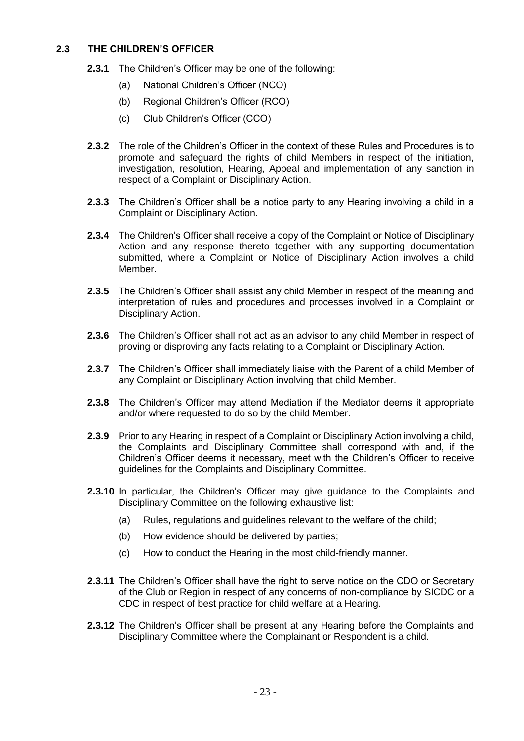### <span id="page-22-0"></span>**2.3 THE CHILDREN'S OFFICER**

- **2.3.1** The Children's Officer may be one of the following:
	- (a) National Children's Officer (NCO)
	- (b) Regional Children's Officer (RCO)
	- (c) Club Children's Officer (CCO)
- **2.3.2** The role of the Children's Officer in the context of these Rules and Procedures is to promote and safeguard the rights of child Members in respect of the initiation, investigation, resolution, Hearing, Appeal and implementation of any sanction in respect of a Complaint or Disciplinary Action.
- **2.3.3** The Children's Officer shall be a notice party to any Hearing involving a child in a Complaint or Disciplinary Action.
- **2.3.4** The Children's Officer shall receive a copy of the Complaint or Notice of Disciplinary Action and any response thereto together with any supporting documentation submitted, where a Complaint or Notice of Disciplinary Action involves a child Member.
- **2.3.5** The Children's Officer shall assist any child Member in respect of the meaning and interpretation of rules and procedures and processes involved in a Complaint or Disciplinary Action.
- **2.3.6** The Children's Officer shall not act as an advisor to any child Member in respect of proving or disproving any facts relating to a Complaint or Disciplinary Action.
- **2.3.7** The Children's Officer shall immediately liaise with the Parent of a child Member of any Complaint or Disciplinary Action involving that child Member.
- **2.3.8** The Children's Officer may attend Mediation if the Mediator deems it appropriate and/or where requested to do so by the child Member.
- **2.3.9** Prior to any Hearing in respect of a Complaint or Disciplinary Action involving a child, the Complaints and Disciplinary Committee shall correspond with and, if the Children's Officer deems it necessary, meet with the Children's Officer to receive guidelines for the Complaints and Disciplinary Committee.
- **2.3.10** In particular, the Children's Officer may give guidance to the Complaints and Disciplinary Committee on the following exhaustive list:
	- (a) Rules, regulations and guidelines relevant to the welfare of the child;
	- (b) How evidence should be delivered by parties;
	- (c) How to conduct the Hearing in the most child-friendly manner.
- **2.3.11** The Children's Officer shall have the right to serve notice on the CDO or Secretary of the Club or Region in respect of any concerns of non-compliance by SICDC or a CDC in respect of best practice for child welfare at a Hearing.
- **2.3.12** The Children's Officer shall be present at any Hearing before the Complaints and Disciplinary Committee where the Complainant or Respondent is a child.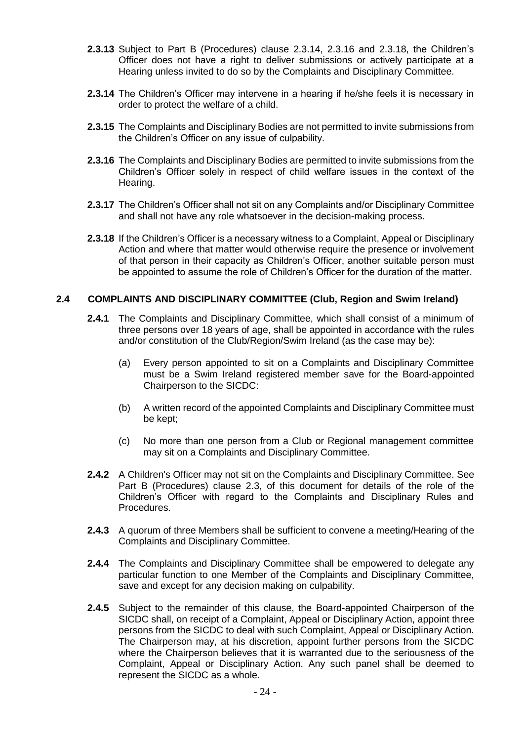- **2.3.13** Subject to Part B (Procedures) clause 2.3.14, 2.3.16 and 2.3.18, the Children's Officer does not have a right to deliver submissions or actively participate at a Hearing unless invited to do so by the Complaints and Disciplinary Committee.
- **2.3.14** The Children's Officer may intervene in a hearing if he/she feels it is necessary in order to protect the welfare of a child.
- **2.3.15** The Complaints and Disciplinary Bodies are not permitted to invite submissions from the Children's Officer on any issue of culpability.
- **2.3.16** The Complaints and Disciplinary Bodies are permitted to invite submissions from the Children's Officer solely in respect of child welfare issues in the context of the Hearing.
- **2.3.17** The Children's Officer shall not sit on any Complaints and/or Disciplinary Committee and shall not have any role whatsoever in the decision-making process.
- **2.3.18** If the Children's Officer is a necessary witness to a Complaint, Appeal or Disciplinary Action and where that matter would otherwise require the presence or involvement of that person in their capacity as Children's Officer, another suitable person must be appointed to assume the role of Children's Officer for the duration of the matter.

#### <span id="page-23-0"></span>**2.4 COMPLAINTS AND DISCIPLINARY COMMITTEE (Club, Region and Swim Ireland)**

- **2.4.1** The Complaints and Disciplinary Committee, which shall consist of a minimum of three persons over 18 years of age, shall be appointed in accordance with the rules and/or constitution of the Club/Region/Swim Ireland (as the case may be):
	- (a) Every person appointed to sit on a Complaints and Disciplinary Committee must be a Swim Ireland registered member save for the Board-appointed Chairperson to the SICDC:
	- (b) A written record of the appointed Complaints and Disciplinary Committee must be kept;
	- (c) No more than one person from a Club or Regional management committee may sit on a Complaints and Disciplinary Committee.
- **2.4.2** A Children's Officer may not sit on the Complaints and Disciplinary Committee. See Part B (Procedures) clause 2.3, of this document for details of the role of the Children's Officer with regard to the Complaints and Disciplinary Rules and Procedures.
- **2.4.3** A quorum of three Members shall be sufficient to convene a meeting/Hearing of the Complaints and Disciplinary Committee.
- **2.4.4** The Complaints and Disciplinary Committee shall be empowered to delegate any particular function to one Member of the Complaints and Disciplinary Committee, save and except for any decision making on culpability.
- **2.4.5** Subject to the remainder of this clause, the Board-appointed Chairperson of the SICDC shall, on receipt of a Complaint, Appeal or Disciplinary Action, appoint three persons from the SICDC to deal with such Complaint, Appeal or Disciplinary Action. The Chairperson may, at his discretion, appoint further persons from the SICDC where the Chairperson believes that it is warranted due to the seriousness of the Complaint, Appeal or Disciplinary Action. Any such panel shall be deemed to represent the SICDC as a whole.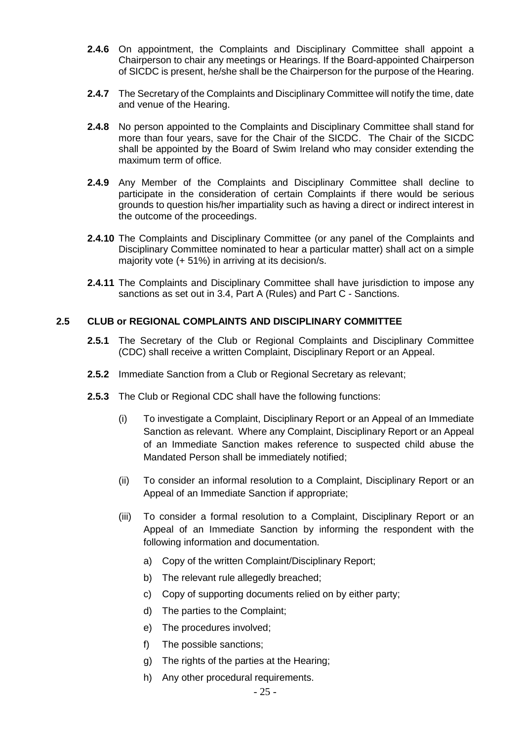- **2.4.6** On appointment, the Complaints and Disciplinary Committee shall appoint a Chairperson to chair any meetings or Hearings. If the Board-appointed Chairperson of SICDC is present, he/she shall be the Chairperson for the purpose of the Hearing.
- **2.4.7** The Secretary of the Complaints and Disciplinary Committee will notify the time, date and venue of the Hearing.
- **2.4.8** No person appointed to the Complaints and Disciplinary Committee shall stand for more than four years, save for the Chair of the SICDC. The Chair of the SICDC shall be appointed by the Board of Swim Ireland who may consider extending the maximum term of office.
- **2.4.9** Any Member of the Complaints and Disciplinary Committee shall decline to participate in the consideration of certain Complaints if there would be serious grounds to question his/her impartiality such as having a direct or indirect interest in the outcome of the proceedings.
- **2.4.10** The Complaints and Disciplinary Committee (or any panel of the Complaints and Disciplinary Committee nominated to hear a particular matter) shall act on a simple majority vote (+ 51%) in arriving at its decision/s.
- **2.4.11** The Complaints and Disciplinary Committee shall have jurisdiction to impose any sanctions as set out in 3.4, Part A (Rules) and Part C - Sanctions.

### <span id="page-24-0"></span>**2.5 CLUB or REGIONAL COMPLAINTS AND DISCIPLINARY COMMITTEE**

- **2.5.1** The Secretary of the Club or Regional Complaints and Disciplinary Committee (CDC) shall receive a written Complaint, Disciplinary Report or an Appeal.
- **2.5.2** Immediate Sanction from a Club or Regional Secretary as relevant;
- **2.5.3** The Club or Regional CDC shall have the following functions:
	- (i) To investigate a Complaint, Disciplinary Report or an Appeal of an Immediate Sanction as relevant. Where any Complaint, Disciplinary Report or an Appeal of an Immediate Sanction makes reference to suspected child abuse the Mandated Person shall be immediately notified;
	- (ii) To consider an informal resolution to a Complaint, Disciplinary Report or an Appeal of an Immediate Sanction if appropriate;
	- (iii) To consider a formal resolution to a Complaint, Disciplinary Report or an Appeal of an Immediate Sanction by informing the respondent with the following information and documentation.
		- a) Copy of the written Complaint/Disciplinary Report;
		- b) The relevant rule allegedly breached;
		- c) Copy of supporting documents relied on by either party;
		- d) The parties to the Complaint;
		- e) The procedures involved;
		- f) The possible sanctions;
		- g) The rights of the parties at the Hearing;
		- h) Any other procedural requirements.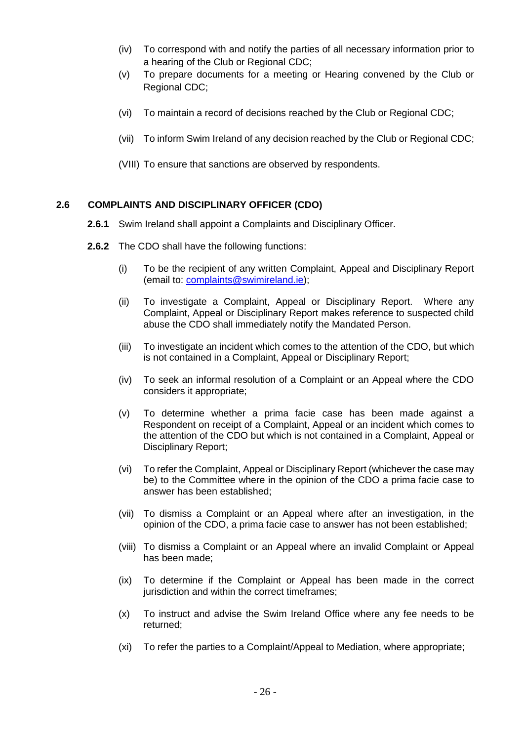- (iv) To correspond with and notify the parties of all necessary information prior to a hearing of the Club or Regional CDC;
- (v) To prepare documents for a meeting or Hearing convened by the Club or Regional CDC;
- (vi) To maintain a record of decisions reached by the Club or Regional CDC;
- (vii) To inform Swim Ireland of any decision reached by the Club or Regional CDC;
- (VIII) To ensure that sanctions are observed by respondents.

### <span id="page-25-0"></span>**2.6 COMPLAINTS AND DISCIPLINARY OFFICER (CDO)**

- **2.6.1** Swim Ireland shall appoint a Complaints and Disciplinary Officer.
- **2.6.2** The CDO shall have the following functions:
	- (i) To be the recipient of any written Complaint, Appeal and Disciplinary Report (email to: [complaints@swimireland.ie\)](mailto:complaints@swimireland.ie);
	- (ii) To investigate a Complaint, Appeal or Disciplinary Report. Where any Complaint, Appeal or Disciplinary Report makes reference to suspected child abuse the CDO shall immediately notify the Mandated Person.
	- (iii) To investigate an incident which comes to the attention of the CDO, but which is not contained in a Complaint, Appeal or Disciplinary Report;
	- (iv) To seek an informal resolution of a Complaint or an Appeal where the CDO considers it appropriate;
	- (v) To determine whether a prima facie case has been made against a Respondent on receipt of a Complaint, Appeal or an incident which comes to the attention of the CDO but which is not contained in a Complaint, Appeal or Disciplinary Report;
	- (vi) To refer the Complaint, Appeal or Disciplinary Report (whichever the case may be) to the Committee where in the opinion of the CDO a prima facie case to answer has been established;
	- (vii) To dismiss a Complaint or an Appeal where after an investigation, in the opinion of the CDO, a prima facie case to answer has not been established;
	- (viii) To dismiss a Complaint or an Appeal where an invalid Complaint or Appeal has been made;
	- (ix) To determine if the Complaint or Appeal has been made in the correct jurisdiction and within the correct timeframes;
	- (x) To instruct and advise the Swim Ireland Office where any fee needs to be returned;
	- (xi) To refer the parties to a Complaint/Appeal to Mediation, where appropriate;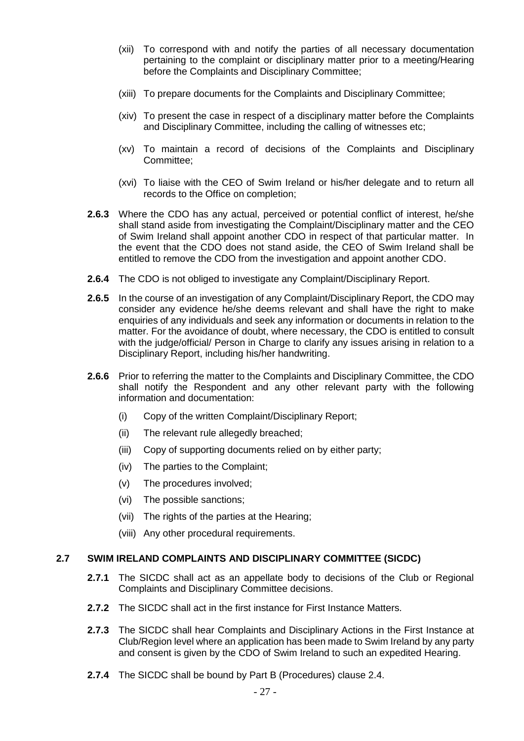- (xii) To correspond with and notify the parties of all necessary documentation pertaining to the complaint or disciplinary matter prior to a meeting/Hearing before the Complaints and Disciplinary Committee;
- (xiii) To prepare documents for the Complaints and Disciplinary Committee;
- (xiv) To present the case in respect of a disciplinary matter before the Complaints and Disciplinary Committee, including the calling of witnesses etc;
- (xv) To maintain a record of decisions of the Complaints and Disciplinary Committee;
- (xvi) To liaise with the CEO of Swim Ireland or his/her delegate and to return all records to the Office on completion;
- **2.6.3** Where the CDO has any actual, perceived or potential conflict of interest, he/she shall stand aside from investigating the Complaint/Disciplinary matter and the CEO of Swim Ireland shall appoint another CDO in respect of that particular matter. In the event that the CDO does not stand aside, the CEO of Swim Ireland shall be entitled to remove the CDO from the investigation and appoint another CDO.
- **2.6.4** The CDO is not obliged to investigate any Complaint/Disciplinary Report.
- **2.6.5** In the course of an investigation of any Complaint/Disciplinary Report, the CDO may consider any evidence he/she deems relevant and shall have the right to make enquiries of any individuals and seek any information or documents in relation to the matter. For the avoidance of doubt, where necessary, the CDO is entitled to consult with the judge/official/ Person in Charge to clarify any issues arising in relation to a Disciplinary Report, including his/her handwriting.
- **2.6.6** Prior to referring the matter to the Complaints and Disciplinary Committee, the CDO shall notify the Respondent and any other relevant party with the following information and documentation:
	- (i) Copy of the written Complaint/Disciplinary Report;
	- (ii) The relevant rule allegedly breached;
	- (iii) Copy of supporting documents relied on by either party;
	- (iv) The parties to the Complaint;
	- (v) The procedures involved;
	- (vi) The possible sanctions;
	- (vii) The rights of the parties at the Hearing;
	- (viii) Any other procedural requirements.

#### <span id="page-26-0"></span>**2.7 SWIM IRELAND COMPLAINTS AND DISCIPLINARY COMMITTEE (SICDC)**

- **2.7.1** The SICDC shall act as an appellate body to decisions of the Club or Regional Complaints and Disciplinary Committee decisions.
- **2.7.2** The SICDC shall act in the first instance for First Instance Matters.
- **2.7.3** The SICDC shall hear Complaints and Disciplinary Actions in the First Instance at Club/Region level where an application has been made to Swim Ireland by any party and consent is given by the CDO of Swim Ireland to such an expedited Hearing.
- **2.7.4** The SICDC shall be bound by Part B (Procedures) clause 2.4.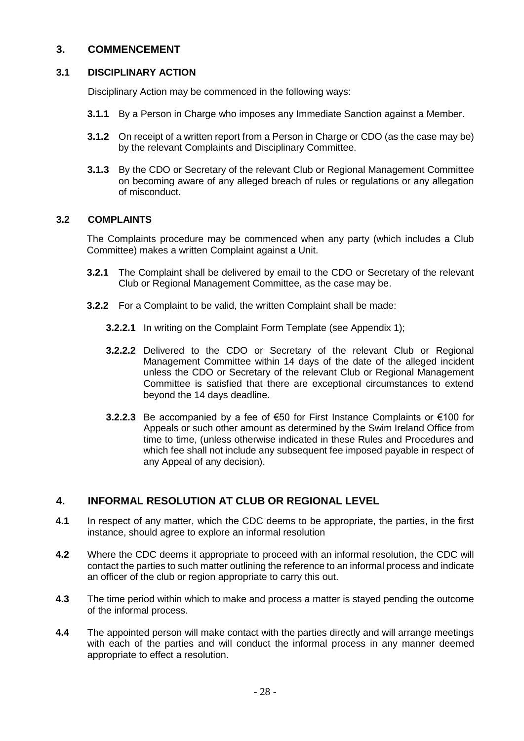# <span id="page-27-0"></span>**3. COMMENCEMENT**

# <span id="page-27-1"></span>**3.1 DISCIPLINARY ACTION**

Disciplinary Action may be commenced in the following ways:

- **3.1.1** By a Person in Charge who imposes any Immediate Sanction against a Member.
- **3.1.2** On receipt of a written report from a Person in Charge or CDO (as the case may be) by the relevant Complaints and Disciplinary Committee.
- **3.1.3** By the CDO or Secretary of the relevant Club or Regional Management Committee on becoming aware of any alleged breach of rules or regulations or any allegation of misconduct.

# <span id="page-27-2"></span>**3.2 COMPLAINTS**

The Complaints procedure may be commenced when any party (which includes a Club Committee) makes a written Complaint against a Unit.

- **3.2.1** The Complaint shall be delivered by email to the CDO or Secretary of the relevant Club or Regional Management Committee, as the case may be.
- **3.2.2** For a Complaint to be valid, the written Complaint shall be made:
	- **3.2.2.1** In writing on the Complaint Form Template (see Appendix 1);
	- **3.2.2.2** Delivered to the CDO or Secretary of the relevant Club or Regional Management Committee within 14 days of the date of the alleged incident unless the CDO or Secretary of the relevant Club or Regional Management Committee is satisfied that there are exceptional circumstances to extend beyond the 14 days deadline.
	- **3.2.2.3** Be accompanied by a fee of €50 for First Instance Complaints or €100 for Appeals or such other amount as determined by the Swim Ireland Office from time to time, (unless otherwise indicated in these Rules and Procedures and which fee shall not include any subsequent fee imposed payable in respect of any Appeal of any decision).

# <span id="page-27-3"></span>**4. INFORMAL RESOLUTION AT CLUB OR REGIONAL LEVEL**

- **4.1** In respect of any matter, which the CDC deems to be appropriate, the parties, in the first instance, should agree to explore an informal resolution
- **4.2** Where the CDC deems it appropriate to proceed with an informal resolution, the CDC will contact the parties to such matter outlining the reference to an informal process and indicate an officer of the club or region appropriate to carry this out.
- **4.3** The time period within which to make and process a matter is stayed pending the outcome of the informal process.
- **4.4** The appointed person will make contact with the parties directly and will arrange meetings with each of the parties and will conduct the informal process in any manner deemed appropriate to effect a resolution.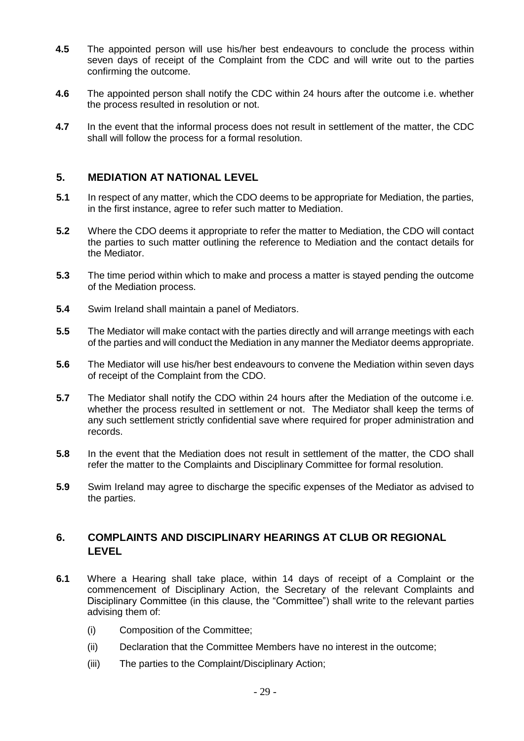- **4.5** The appointed person will use his/her best endeavours to conclude the process within seven days of receipt of the Complaint from the CDC and will write out to the parties confirming the outcome.
- **4.6** The appointed person shall notify the CDC within 24 hours after the outcome i.e. whether the process resulted in resolution or not.
- **4.7** In the event that the informal process does not result in settlement of the matter, the CDC shall will follow the process for a formal resolution.

# <span id="page-28-0"></span>**5. MEDIATION AT NATIONAL LEVEL**

- **5.1** In respect of any matter, which the CDO deems to be appropriate for Mediation, the parties, in the first instance, agree to refer such matter to Mediation.
- **5.2** Where the CDO deems it appropriate to refer the matter to Mediation, the CDO will contact the parties to such matter outlining the reference to Mediation and the contact details for the Mediator.
- **5.3** The time period within which to make and process a matter is stayed pending the outcome of the Mediation process.
- **5.4** Swim Ireland shall maintain a panel of Mediators.
- **5.5** The Mediator will make contact with the parties directly and will arrange meetings with each of the parties and will conduct the Mediation in any manner the Mediator deems appropriate.
- **5.6** The Mediator will use his/her best endeavours to convene the Mediation within seven days of receipt of the Complaint from the CDO.
- **5.7** The Mediator shall notify the CDO within 24 hours after the Mediation of the outcome i.e. whether the process resulted in settlement or not. The Mediator shall keep the terms of any such settlement strictly confidential save where required for proper administration and records.
- **5.8** In the event that the Mediation does not result in settlement of the matter, the CDO shall refer the matter to the Complaints and Disciplinary Committee for formal resolution.
- **5.9** Swim Ireland may agree to discharge the specific expenses of the Mediator as advised to the parties.

# <span id="page-28-1"></span>**6. COMPLAINTS AND DISCIPLINARY HEARINGS AT CLUB OR REGIONAL LEVEL**

- **6.1** Where a Hearing shall take place, within 14 days of receipt of a Complaint or the commencement of Disciplinary Action, the Secretary of the relevant Complaints and Disciplinary Committee (in this clause, the "Committee") shall write to the relevant parties advising them of:
	- (i) Composition of the Committee;
	- (ii) Declaration that the Committee Members have no interest in the outcome;
	- (iii) The parties to the Complaint/Disciplinary Action;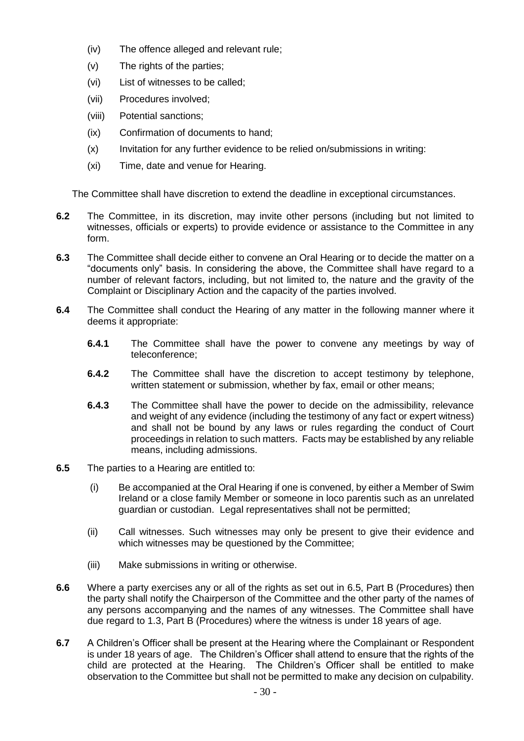- (iv) The offence alleged and relevant rule;
- (v) The rights of the parties;
- (vi) List of witnesses to be called;
- (vii) Procedures involved;
- (viii) Potential sanctions;
- (ix) Confirmation of documents to hand;
- (x) Invitation for any further evidence to be relied on/submissions in writing:
- (xi) Time, date and venue for Hearing.

The Committee shall have discretion to extend the deadline in exceptional circumstances.

- **6.2** The Committee, in its discretion, may invite other persons (including but not limited to witnesses, officials or experts) to provide evidence or assistance to the Committee in any form.
- **6.3** The Committee shall decide either to convene an Oral Hearing or to decide the matter on a "documents only" basis. In considering the above, the Committee shall have regard to a number of relevant factors, including, but not limited to, the nature and the gravity of the Complaint or Disciplinary Action and the capacity of the parties involved.
- **6.4** The Committee shall conduct the Hearing of any matter in the following manner where it deems it appropriate:
	- **6.4.1** The Committee shall have the power to convene any meetings by way of teleconference;
	- **6.4.2** The Committee shall have the discretion to accept testimony by telephone, written statement or submission, whether by fax, email or other means;
	- **6.4.3** The Committee shall have the power to decide on the admissibility, relevance and weight of any evidence (including the testimony of any fact or expert witness) and shall not be bound by any laws or rules regarding the conduct of Court proceedings in relation to such matters. Facts may be established by any reliable means, including admissions.
- **6.5** The parties to a Hearing are entitled to:
	- (i) Be accompanied at the Oral Hearing if one is convened, by either a Member of Swim Ireland or a close family Member or someone in loco parentis such as an unrelated guardian or custodian. Legal representatives shall not be permitted;
	- (ii) Call witnesses. Such witnesses may only be present to give their evidence and which witnesses may be questioned by the Committee;
	- (iii) Make submissions in writing or otherwise.
- **6.6** Where a party exercises any or all of the rights as set out in 6.5, Part B (Procedures) then the party shall notify the Chairperson of the Committee and the other party of the names of any persons accompanying and the names of any witnesses. The Committee shall have due regard to 1.3, Part B (Procedures) where the witness is under 18 years of age.
- **6.7** A Children's Officer shall be present at the Hearing where the Complainant or Respondent is under 18 years of age. The Children's Officer shall attend to ensure that the rights of the child are protected at the Hearing. The Children's Officer shall be entitled to make observation to the Committee but shall not be permitted to make any decision on culpability.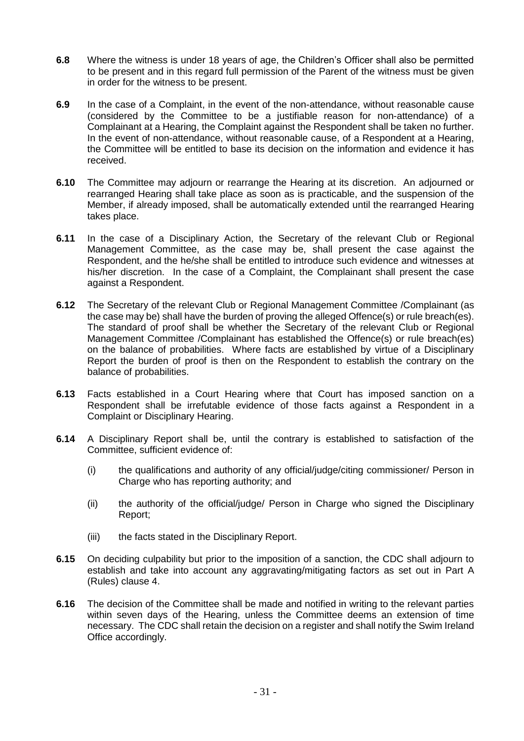- **6.8** Where the witness is under 18 years of age, the Children's Officer shall also be permitted to be present and in this regard full permission of the Parent of the witness must be given in order for the witness to be present.
- **6.9** In the case of a Complaint, in the event of the non-attendance, without reasonable cause (considered by the Committee to be a justifiable reason for non-attendance) of a Complainant at a Hearing, the Complaint against the Respondent shall be taken no further. In the event of non-attendance, without reasonable cause, of a Respondent at a Hearing, the Committee will be entitled to base its decision on the information and evidence it has received.
- **6.10** The Committee may adjourn or rearrange the Hearing at its discretion. An adjourned or rearranged Hearing shall take place as soon as is practicable, and the suspension of the Member, if already imposed, shall be automatically extended until the rearranged Hearing takes place.
- **6.11** In the case of a Disciplinary Action, the Secretary of the relevant Club or Regional Management Committee, as the case may be, shall present the case against the Respondent, and the he/she shall be entitled to introduce such evidence and witnesses at his/her discretion. In the case of a Complaint, the Complainant shall present the case against a Respondent.
- **6.12** The Secretary of the relevant Club or Regional Management Committee /Complainant (as the case may be) shall have the burden of proving the alleged Offence(s) or rule breach(es). The standard of proof shall be whether the Secretary of the relevant Club or Regional Management Committee /Complainant has established the Offence(s) or rule breach(es) on the balance of probabilities. Where facts are established by virtue of a Disciplinary Report the burden of proof is then on the Respondent to establish the contrary on the balance of probabilities.
- **6.13** Facts established in a Court Hearing where that Court has imposed sanction on a Respondent shall be irrefutable evidence of those facts against a Respondent in a Complaint or Disciplinary Hearing.
- **6.14** A Disciplinary Report shall be, until the contrary is established to satisfaction of the Committee, sufficient evidence of:
	- (i) the qualifications and authority of any official/judge/citing commissioner/ Person in Charge who has reporting authority; and
	- (ii) the authority of the official/judge/ Person in Charge who signed the Disciplinary Report;
	- (iii) the facts stated in the Disciplinary Report.
- **6.15** On deciding culpability but prior to the imposition of a sanction, the CDC shall adjourn to establish and take into account any aggravating/mitigating factors as set out in Part A (Rules) clause 4.
- **6.16** The decision of the Committee shall be made and notified in writing to the relevant parties within seven days of the Hearing, unless the Committee deems an extension of time necessary. The CDC shall retain the decision on a register and shall notify the Swim Ireland Office accordingly.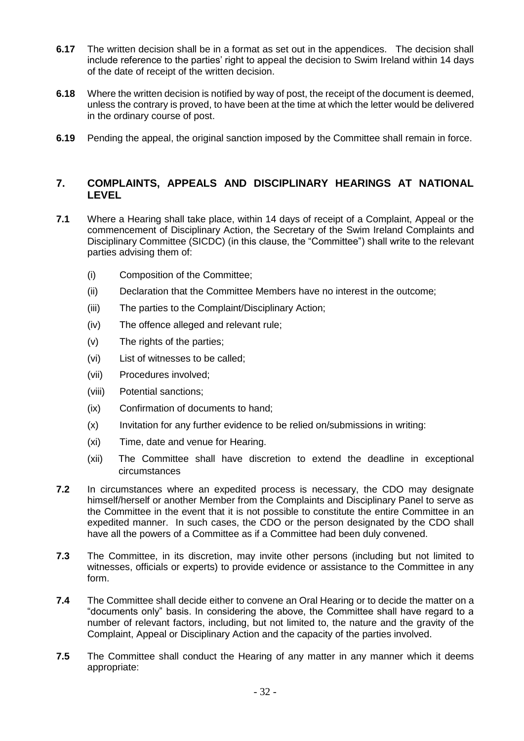- **6.17** The written decision shall be in a format as set out in the appendices. The decision shall include reference to the parties' right to appeal the decision to Swim Ireland within 14 days of the date of receipt of the written decision.
- **6.18** Where the written decision is notified by way of post, the receipt of the document is deemed, unless the contrary is proved, to have been at the time at which the letter would be delivered in the ordinary course of post.
- **6.19** Pending the appeal, the original sanction imposed by the Committee shall remain in force.

# **7. COMPLAINTS, APPEALS AND DISCIPLINARY HEARINGS AT NATIONAL LEVEL**

- **7.1** Where a Hearing shall take place, within 14 days of receipt of a Complaint, Appeal or the commencement of Disciplinary Action, the Secretary of the Swim Ireland Complaints and Disciplinary Committee (SICDC) (in this clause, the "Committee") shall write to the relevant parties advising them of:
	- (i) Composition of the Committee;
	- (ii) Declaration that the Committee Members have no interest in the outcome;
	- (iii) The parties to the Complaint/Disciplinary Action;
	- (iv) The offence alleged and relevant rule;
	- (v) The rights of the parties;
	- (vi) List of witnesses to be called;
	- (vii) Procedures involved;
	- (viii) Potential sanctions;
	- (ix) Confirmation of documents to hand;
	- (x) Invitation for any further evidence to be relied on/submissions in writing:
	- (xi) Time, date and venue for Hearing.
	- (xii) The Committee shall have discretion to extend the deadline in exceptional circumstances
- **7.2** In circumstances where an expedited process is necessary, the CDO may designate himself/herself or another Member from the Complaints and Disciplinary Panel to serve as the Committee in the event that it is not possible to constitute the entire Committee in an expedited manner. In such cases, the CDO or the person designated by the CDO shall have all the powers of a Committee as if a Committee had been duly convened.
- **7.3** The Committee, in its discretion, may invite other persons (including but not limited to witnesses, officials or experts) to provide evidence or assistance to the Committee in any form.
- **7.4** The Committee shall decide either to convene an Oral Hearing or to decide the matter on a "documents only" basis. In considering the above, the Committee shall have regard to a number of relevant factors, including, but not limited to, the nature and the gravity of the Complaint, Appeal or Disciplinary Action and the capacity of the parties involved.
- **7.5** The Committee shall conduct the Hearing of any matter in any manner which it deems appropriate: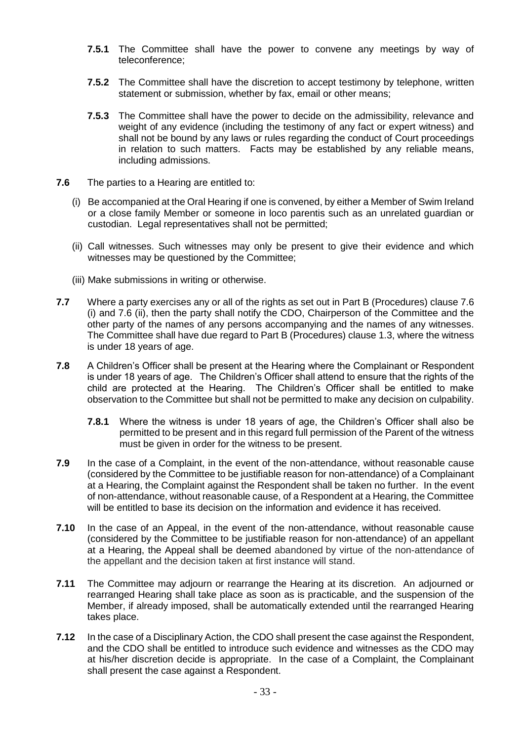- **7.5.1** The Committee shall have the power to convene any meetings by way of teleconference;
- **7.5.2** The Committee shall have the discretion to accept testimony by telephone, written statement or submission, whether by fax, email or other means;
- **7.5.3** The Committee shall have the power to decide on the admissibility, relevance and weight of any evidence (including the testimony of any fact or expert witness) and shall not be bound by any laws or rules regarding the conduct of Court proceedings in relation to such matters. Facts may be established by any reliable means, including admissions.
- **7.6** The parties to a Hearing are entitled to:
	- (i) Be accompanied at the Oral Hearing if one is convened, by either a Member of Swim Ireland or a close family Member or someone in loco parentis such as an unrelated guardian or custodian. Legal representatives shall not be permitted;
	- (ii) Call witnesses. Such witnesses may only be present to give their evidence and which witnesses may be questioned by the Committee;
	- (iii) Make submissions in writing or otherwise.
- **7.7** Where a party exercises any or all of the rights as set out in Part B (Procedures) clause 7.6 (i) and 7.6 (ii), then the party shall notify the CDO, Chairperson of the Committee and the other party of the names of any persons accompanying and the names of any witnesses. The Committee shall have due regard to Part B (Procedures) clause 1.3, where the witness is under 18 years of age.
- **7.8** A Children's Officer shall be present at the Hearing where the Complainant or Respondent is under 18 years of age. The Children's Officer shall attend to ensure that the rights of the child are protected at the Hearing. The Children's Officer shall be entitled to make observation to the Committee but shall not be permitted to make any decision on culpability.
	- **7.8.1** Where the witness is under 18 years of age, the Children's Officer shall also be permitted to be present and in this regard full permission of the Parent of the witness must be given in order for the witness to be present.
- **7.9** In the case of a Complaint, in the event of the non-attendance, without reasonable cause (considered by the Committee to be justifiable reason for non-attendance) of a Complainant at a Hearing, the Complaint against the Respondent shall be taken no further. In the event of non-attendance, without reasonable cause, of a Respondent at a Hearing, the Committee will be entitled to base its decision on the information and evidence it has received.
- **7.10** In the case of an Appeal, in the event of the non-attendance, without reasonable cause (considered by the Committee to be justifiable reason for non-attendance) of an appellant at a Hearing, the Appeal shall be deemed abandoned by virtue of the non-attendance of the appellant and the decision taken at first instance will stand.
- **7.11** The Committee may adjourn or rearrange the Hearing at its discretion. An adjourned or rearranged Hearing shall take place as soon as is practicable, and the suspension of the Member, if already imposed, shall be automatically extended until the rearranged Hearing takes place.
- **7.12** In the case of a Disciplinary Action, the CDO shall present the case against the Respondent, and the CDO shall be entitled to introduce such evidence and witnesses as the CDO may at his/her discretion decide is appropriate. In the case of a Complaint, the Complainant shall present the case against a Respondent.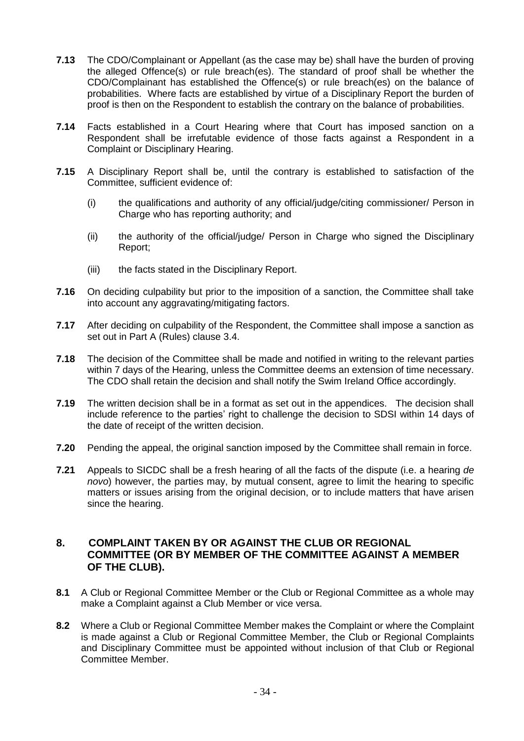- **7.13** The CDO/Complainant or Appellant (as the case may be) shall have the burden of proving the alleged Offence(s) or rule breach(es). The standard of proof shall be whether the CDO/Complainant has established the Offence(s) or rule breach(es) on the balance of probabilities. Where facts are established by virtue of a Disciplinary Report the burden of proof is then on the Respondent to establish the contrary on the balance of probabilities.
- **7.14** Facts established in a Court Hearing where that Court has imposed sanction on a Respondent shall be irrefutable evidence of those facts against a Respondent in a Complaint or Disciplinary Hearing.
- **7.15** A Disciplinary Report shall be, until the contrary is established to satisfaction of the Committee, sufficient evidence of:
	- (i) the qualifications and authority of any official/judge/citing commissioner/ Person in Charge who has reporting authority; and
	- (ii) the authority of the official/judge/ Person in Charge who signed the Disciplinary Report;
	- (iii) the facts stated in the Disciplinary Report.
- **7.16** On deciding culpability but prior to the imposition of a sanction, the Committee shall take into account any aggravating/mitigating factors.
- **7.17** After deciding on culpability of the Respondent, the Committee shall impose a sanction as set out in Part A (Rules) clause 3.4.
- **7.18** The decision of the Committee shall be made and notified in writing to the relevant parties within 7 days of the Hearing, unless the Committee deems an extension of time necessary. The CDO shall retain the decision and shall notify the Swim Ireland Office accordingly.
- **7.19** The written decision shall be in a format as set out in the appendices. The decision shall include reference to the parties' right to challenge the decision to SDSI within 14 days of the date of receipt of the written decision.
- **7.20** Pending the appeal, the original sanction imposed by the Committee shall remain in force.
- **7.21** Appeals to SICDC shall be a fresh hearing of all the facts of the dispute (i.e. a hearing *de novo*) however, the parties may, by mutual consent, agree to limit the hearing to specific matters or issues arising from the original decision, or to include matters that have arisen since the hearing.

## <span id="page-33-0"></span>**8. COMPLAINT TAKEN BY OR AGAINST THE CLUB OR REGIONAL COMMITTEE (OR BY MEMBER OF THE COMMITTEE AGAINST A MEMBER OF THE CLUB).**

- **8.1** A Club or Regional Committee Member or the Club or Regional Committee as a whole may make a Complaint against a Club Member or vice versa.
- **8.2** Where a Club or Regional Committee Member makes the Complaint or where the Complaint is made against a Club or Regional Committee Member, the Club or Regional Complaints and Disciplinary Committee must be appointed without inclusion of that Club or Regional Committee Member.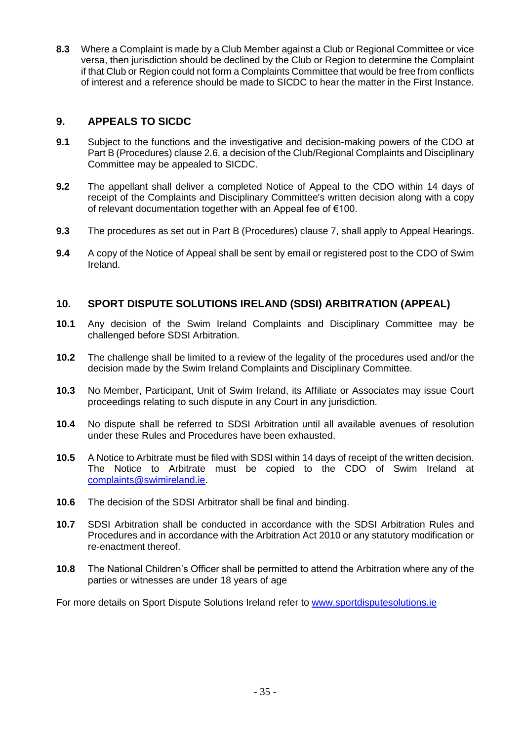**8.3** Where a Complaint is made by a Club Member against a Club or Regional Committee or vice versa, then jurisdiction should be declined by the Club or Region to determine the Complaint if that Club or Region could not form a Complaints Committee that would be free from conflicts of interest and a reference should be made to SICDC to hear the matter in the First Instance.

# <span id="page-34-0"></span>**9. APPEALS TO SICDC**

- **9.1** Subject to the functions and the investigative and decision-making powers of the CDO at Part B (Procedures) clause 2.6, a decision of the Club/Regional Complaints and Disciplinary Committee may be appealed to SICDC.
- **9.2** The appellant shall deliver a completed Notice of Appeal to the CDO within 14 days of receipt of the Complaints and Disciplinary Committee's written decision along with a copy of relevant documentation together with an Appeal fee of €100.
- **9.3** The procedures as set out in Part B (Procedures) clause 7, shall apply to Appeal Hearings.
- **9.4** A copy of the Notice of Appeal shall be sent by email or registered post to the CDO of Swim Ireland.

# <span id="page-34-1"></span>**10. SPORT DISPUTE SOLUTIONS IRELAND (SDSI) ARBITRATION (APPEAL)**

- **10.1** Any decision of the Swim Ireland Complaints and Disciplinary Committee may be challenged before SDSI Arbitration.
- **10.2** The challenge shall be limited to a review of the legality of the procedures used and/or the decision made by the Swim Ireland Complaints and Disciplinary Committee.
- **10.3** No Member, Participant, Unit of Swim Ireland, its Affiliate or Associates may issue Court proceedings relating to such dispute in any Court in any jurisdiction.
- **10.4** No dispute shall be referred to SDSI Arbitration until all available avenues of resolution under these Rules and Procedures have been exhausted.
- **10.5** A Notice to Arbitrate must be filed with SDSI within 14 days of receipt of the written decision. The Notice to Arbitrate must be copied to the CDO of Swim Ireland at [complaints@swimireland.ie.](mailto:complaints@swimireland.ie)
- **10.6** The decision of the SDSI Arbitrator shall be final and binding.
- **10.7** SDSI Arbitration shall be conducted in accordance with the SDSI Arbitration Rules and Procedures and in accordance with the Arbitration Act 2010 or any statutory modification or re-enactment thereof.
- **10.8** The National Children's Officer shall be permitted to attend the Arbitration where any of the parties or witnesses are under 18 years of age

<span id="page-34-2"></span>For more details on Sport Dispute Solutions Ireland refer to [www.sportdisputesolutions.ie](http://www.sportdisputesolutions.ie/)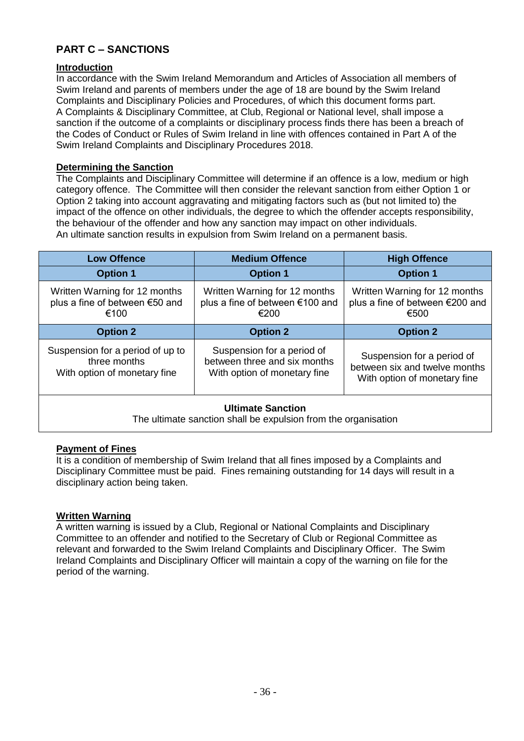# **PART C – SANCTIONS**

# **Introduction**

In accordance with the Swim Ireland Memorandum and Articles of Association all members of Swim Ireland and parents of members under the age of 18 are bound by the Swim Ireland Complaints and Disciplinary Policies and Procedures, of which this document forms part. A Complaints & Disciplinary Committee, at Club, Regional or National level, shall impose a sanction if the outcome of a complaints or disciplinary process finds there has been a breach of the Codes of Conduct or Rules of Swim Ireland in line with offences contained in Part A of the Swim Ireland Complaints and Disciplinary Procedures 2018.

### **Determining the Sanction**

The Complaints and Disciplinary Committee will determine if an offence is a low, medium or high category offence. The Committee will then consider the relevant sanction from either Option 1 or Option 2 taking into account aggravating and mitigating factors such as (but not limited to) the impact of the offence on other individuals, the degree to which the offender accepts responsibility, the behaviour of the offender and how any sanction may impact on other individuals. An ultimate sanction results in expulsion from Swim Ireland on a permanent basis.

| <b>Low Offence</b>                                                                                                                                                             | <b>Medium Offence</b>                                                    | <b>High Offence</b>                                                                         |  |
|--------------------------------------------------------------------------------------------------------------------------------------------------------------------------------|--------------------------------------------------------------------------|---------------------------------------------------------------------------------------------|--|
| <b>Option 1</b>                                                                                                                                                                | <b>Option 1</b>                                                          | <b>Option 1</b>                                                                             |  |
| Written Warning for 12 months<br>plus a fine of between €50 and<br>€100                                                                                                        | Written Warning for 12 months<br>plus a fine of between €100 and<br>€200 | Written Warning for 12 months<br>plus a fine of between €200 and<br>€500                    |  |
| <b>Option 2</b>                                                                                                                                                                | <b>Option 2</b>                                                          | <b>Option 2</b>                                                                             |  |
| Suspension for a period of up to<br>Suspension for a period of<br>between three and six months<br>three months<br>With option of monetary fine<br>With option of monetary fine |                                                                          | Suspension for a period of<br>between six and twelve months<br>With option of monetary fine |  |
| <b>Ultimate Sanction</b><br>The ultimate constian shall be evauleign from the examination                                                                                      |                                                                          |                                                                                             |  |

The ultimate sanction shall be expulsion from the organisation

# **Payment of Fines**

It is a condition of membership of Swim Ireland that all fines imposed by a Complaints and Disciplinary Committee must be paid. Fines remaining outstanding for 14 days will result in a disciplinary action being taken.

### **Written Warning**

A written warning is issued by a Club, Regional or National Complaints and Disciplinary Committee to an offender and notified to the Secretary of Club or Regional Committee as relevant and forwarded to the Swim Ireland Complaints and Disciplinary Officer. The Swim Ireland Complaints and Disciplinary Officer will maintain a copy of the warning on file for the period of the warning.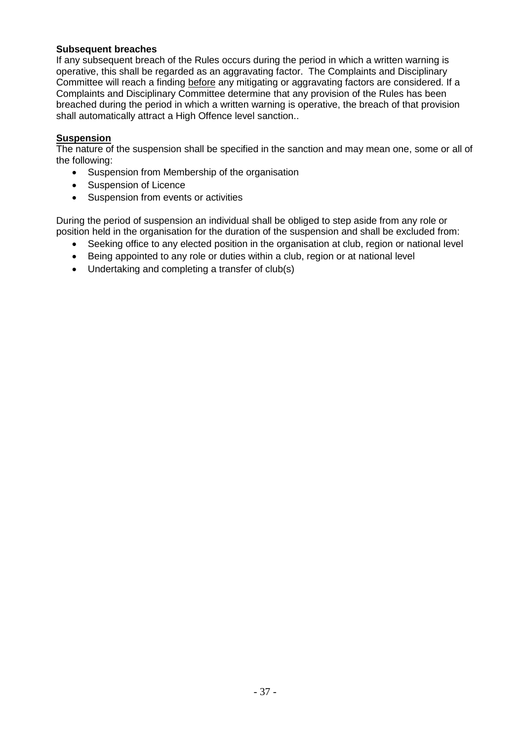## **Subsequent breaches**

If any subsequent breach of the Rules occurs during the period in which a written warning is operative, this shall be regarded as an aggravating factor. The Complaints and Disciplinary Committee will reach a finding before any mitigating or aggravating factors are considered. If a Complaints and Disciplinary Committee determine that any provision of the Rules has been breached during the period in which a written warning is operative, the breach of that provision shall automatically attract a High Offence level sanction..

### **Suspension**

The nature of the suspension shall be specified in the sanction and may mean one, some or all of the following:

- Suspension from Membership of the organisation
- Suspension of Licence
- Suspension from events or activities

During the period of suspension an individual shall be obliged to step aside from any role or position held in the organisation for the duration of the suspension and shall be excluded from:

- Seeking office to any elected position in the organisation at club, region or national level
- Being appointed to any role or duties within a club, region or at national level
- Undertaking and completing a transfer of club(s)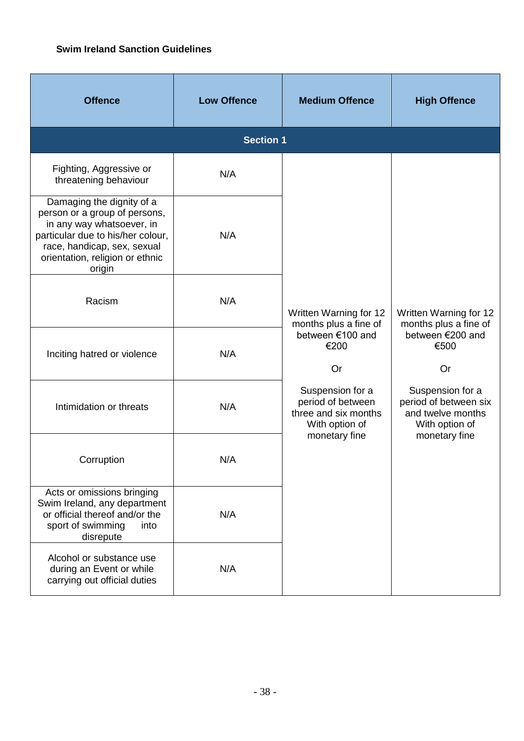# <span id="page-37-0"></span>**Swim Ireland Sanction Guidelines**

| <b>Offence</b>                                                                                                                                                                                           | <b>Low Offence</b> | <b>Medium Offence</b>                                                                                                                                                                 | <b>High Offence</b>                                                                               |
|----------------------------------------------------------------------------------------------------------------------------------------------------------------------------------------------------------|--------------------|---------------------------------------------------------------------------------------------------------------------------------------------------------------------------------------|---------------------------------------------------------------------------------------------------|
|                                                                                                                                                                                                          | <b>Section 1</b>   |                                                                                                                                                                                       |                                                                                                   |
| Fighting, Aggressive or<br>threatening behaviour                                                                                                                                                         | N/A                |                                                                                                                                                                                       |                                                                                                   |
| Damaging the dignity of a<br>person or a group of persons,<br>in any way whatsoever, in<br>particular due to his/her colour,<br>race, handicap, sex, sexual<br>orientation, religion or ethnic<br>origin | N/A                | Written Warning for 12<br>months plus a fine of<br>between €100 and<br>€200<br>Or<br>Suspension for a<br>period of between<br>three and six months<br>With option of<br>monetary fine |                                                                                                   |
| Racism                                                                                                                                                                                                   | N/A                |                                                                                                                                                                                       | Written Warning for 12<br>months plus a fine of                                                   |
| Inciting hatred or violence                                                                                                                                                                              | N/A                |                                                                                                                                                                                       | between €200 and<br>€500<br>Or                                                                    |
| Intimidation or threats                                                                                                                                                                                  | N/A                |                                                                                                                                                                                       | Suspension for a<br>period of between six<br>and twelve months<br>With option of<br>monetary fine |
| Corruption                                                                                                                                                                                               | N/A                |                                                                                                                                                                                       |                                                                                                   |
| Acts or omissions bringing<br>Swim Ireland, any department<br>or official thereof and/or the<br>sport of swimming<br>into<br>disrepute                                                                   | N/A                |                                                                                                                                                                                       |                                                                                                   |
| Alcohol or substance use<br>during an Event or while<br>carrying out official duties                                                                                                                     | N/A                |                                                                                                                                                                                       |                                                                                                   |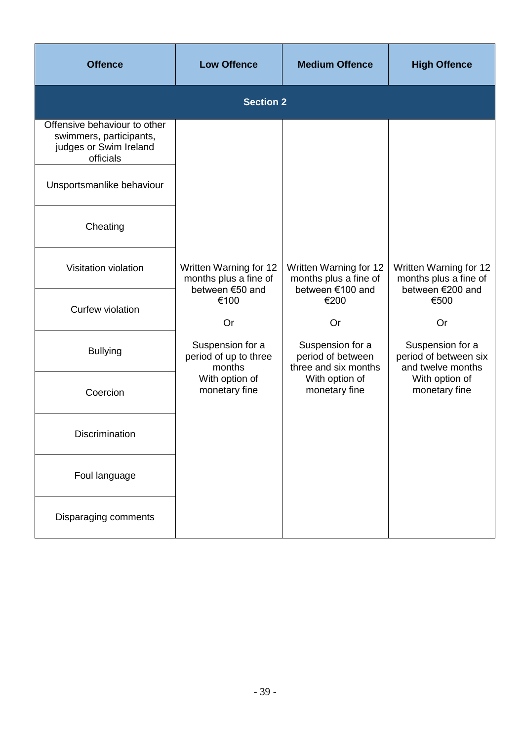| <b>Offence</b>                                                                                 | <b>Low Offence</b>                                                 | <b>Medium Offence</b>                                               | <b>High Offence</b>                                                 |  |
|------------------------------------------------------------------------------------------------|--------------------------------------------------------------------|---------------------------------------------------------------------|---------------------------------------------------------------------|--|
|                                                                                                | <b>Section 2</b>                                                   |                                                                     |                                                                     |  |
| Offensive behaviour to other<br>swimmers, participants,<br>judges or Swim Ireland<br>officials |                                                                    |                                                                     |                                                                     |  |
| Unsportsmanlike behaviour                                                                      |                                                                    |                                                                     |                                                                     |  |
| Cheating                                                                                       |                                                                    |                                                                     |                                                                     |  |
| Visitation violation                                                                           | Written Warning for 12<br>months plus a fine of<br>between €50 and | Written Warning for 12<br>months plus a fine of<br>between €100 and | Written Warning for 12<br>months plus a fine of<br>between €200 and |  |
| Curfew violation                                                                               | €100<br>Or                                                         | €200<br>Or                                                          | €500<br>Or                                                          |  |
| <b>Bullying</b>                                                                                | Suspension for a<br>period of up to three<br>months                | Suspension for a<br>period of between<br>three and six months       | Suspension for a<br>period of between six<br>and twelve months      |  |
| Coercion                                                                                       | With option of<br>monetary fine                                    | With option of<br>monetary fine                                     | With option of<br>monetary fine                                     |  |
| <b>Discrimination</b>                                                                          |                                                                    |                                                                     |                                                                     |  |
| Foul language                                                                                  |                                                                    |                                                                     |                                                                     |  |
| Disparaging comments                                                                           |                                                                    |                                                                     |                                                                     |  |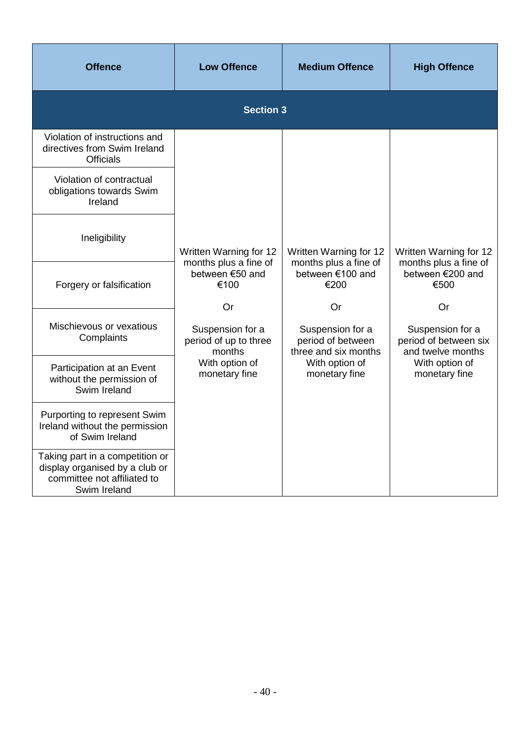| <b>Offence</b>                                                                                                   | <b>Low Offence</b>                                        | <b>Medium Offence</b>                                               | <b>High Offence</b>                                                  |  |  |
|------------------------------------------------------------------------------------------------------------------|-----------------------------------------------------------|---------------------------------------------------------------------|----------------------------------------------------------------------|--|--|
|                                                                                                                  | <b>Section 3</b>                                          |                                                                     |                                                                      |  |  |
| Violation of instructions and<br>directives from Swim Ireland<br><b>Officials</b>                                |                                                           |                                                                     |                                                                      |  |  |
| Violation of contractual<br>obligations towards Swim<br>Ireland                                                  |                                                           |                                                                     |                                                                      |  |  |
| Ineligibility                                                                                                    | Written Warning for 12                                    | Written Warning for 12                                              | Written Warning for 12                                               |  |  |
| Forgery or falsification                                                                                         | months plus a fine of<br>between €50 and<br>€100          | months plus a fine of<br>between €100 and<br>€200                   | months plus a fine of<br>between €200 and<br>€500                    |  |  |
| Mischievous or vexatious<br>Complaints                                                                           | Or<br>Suspension for a<br>period of up to three<br>months | Or<br>Suspension for a<br>period of between<br>three and six months | Or<br>Suspension for a<br>period of between six<br>and twelve months |  |  |
| Participation at an Event<br>without the permission of<br>Swim Ireland                                           | With option of<br>monetary fine                           | With option of<br>monetary fine                                     | With option of<br>monetary fine                                      |  |  |
| Purporting to represent Swim<br>Ireland without the permission<br>of Swim Ireland                                |                                                           |                                                                     |                                                                      |  |  |
| Taking part in a competition or<br>display organised by a club or<br>committee not affiliated to<br>Swim Ireland |                                                           |                                                                     |                                                                      |  |  |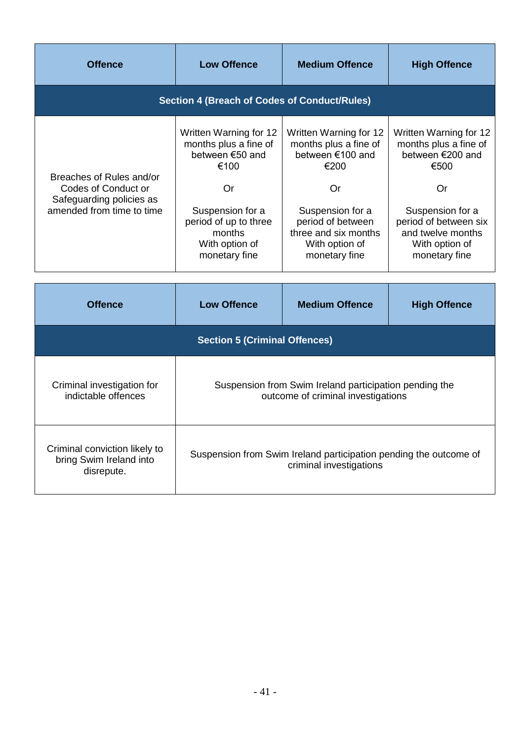| <b>Offence</b>                                                                                           | <b>Low Offence</b>                                                                                                                                                         | <b>Medium Offence</b>                                                                                                                                                                 | <b>High Offence</b>                                                                                                                                                                    |  |
|----------------------------------------------------------------------------------------------------------|----------------------------------------------------------------------------------------------------------------------------------------------------------------------------|---------------------------------------------------------------------------------------------------------------------------------------------------------------------------------------|----------------------------------------------------------------------------------------------------------------------------------------------------------------------------------------|--|
|                                                                                                          | <b>Section 4 (Breach of Codes of Conduct/Rules)</b>                                                                                                                        |                                                                                                                                                                                       |                                                                                                                                                                                        |  |
| Breaches of Rules and/or<br>Codes of Conduct or<br>Safeguarding policies as<br>amended from time to time | Written Warning for 12<br>months plus a fine of<br>between €50 and<br>€100<br>Or<br>Suspension for a<br>period of up to three<br>months<br>With option of<br>monetary fine | Written Warning for 12<br>months plus a fine of<br>between €100 and<br>€200<br>Or<br>Suspension for a<br>period of between<br>three and six months<br>With option of<br>monetary fine | Written Warning for 12<br>months plus a fine of<br>between €200 and<br>€500<br>Or<br>Suspension for a<br>period of between six<br>and twelve months<br>With option of<br>monetary fine |  |
|                                                                                                          |                                                                                                                                                                            |                                                                                                                                                                                       |                                                                                                                                                                                        |  |
| <b>Offence</b>                                                                                           | <b>Low Offence</b>                                                                                                                                                         | <b>Medium Offence</b>                                                                                                                                                                 | <b>High Offence</b>                                                                                                                                                                    |  |
|                                                                                                          | <b>Section 5 (Criminal Offences)</b>                                                                                                                                       |                                                                                                                                                                                       |                                                                                                                                                                                        |  |
| Criminal investigation for<br>indictable offences                                                        | Suspension from Swim Ireland participation pending the<br>outcome of criminal investigations                                                                               |                                                                                                                                                                                       |                                                                                                                                                                                        |  |
| Criminal conviction likely to<br>bring Swim Ireland into<br>disrepute.                                   | Suspension from Swim Ireland participation pending the outcome of<br>criminal investigations                                                                               |                                                                                                                                                                                       |                                                                                                                                                                                        |  |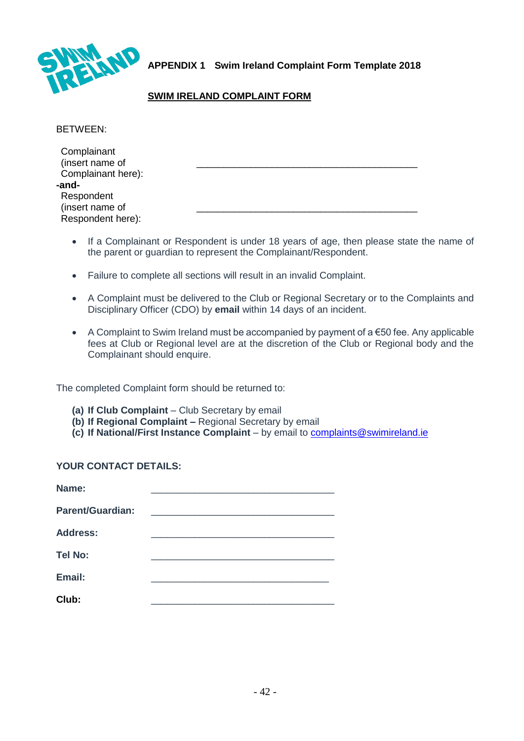

<span id="page-41-0"></span>**APPENDIX 1 Swim Ireland Complaint Form Template 2018**

# **SWIM IRELAND COMPLAINT FORM**

BETWEEN:

| Complainant<br>(insert name of |  |
|--------------------------------|--|
| Complainant here):             |  |
| -and-                          |  |
| Respondent                     |  |
| (insert name of                |  |
| Respondent here):              |  |

- If a Complainant or Respondent is under 18 years of age, then please state the name of the parent or guardian to represent the Complainant/Respondent.
- Failure to complete all sections will result in an invalid Complaint.
- A Complaint must be delivered to the Club or Regional Secretary or to the Complaints and Disciplinary Officer (CDO) by **email** within 14 days of an incident.
- A Complaint to Swim Ireland must be accompanied by payment of a €50 fee. Any applicable fees at Club or Regional level are at the discretion of the Club or Regional body and the Complainant should enquire.

The completed Complaint form should be returned to:

- **(a) If Club Complaint**  Club Secretary by email
- **(b) If Regional Complaint –** Regional Secretary by email
- **(c) If National/First Instance Complaint** by email to [complaints@swimireland.ie](mailto:complaints@swimireland.ie)

### **YOUR CONTACT DETAILS:**

| Name:                   |  |
|-------------------------|--|
| <b>Parent/Guardian:</b> |  |
| <b>Address:</b>         |  |
| <b>Tel No:</b>          |  |
| Email:                  |  |
| Club:                   |  |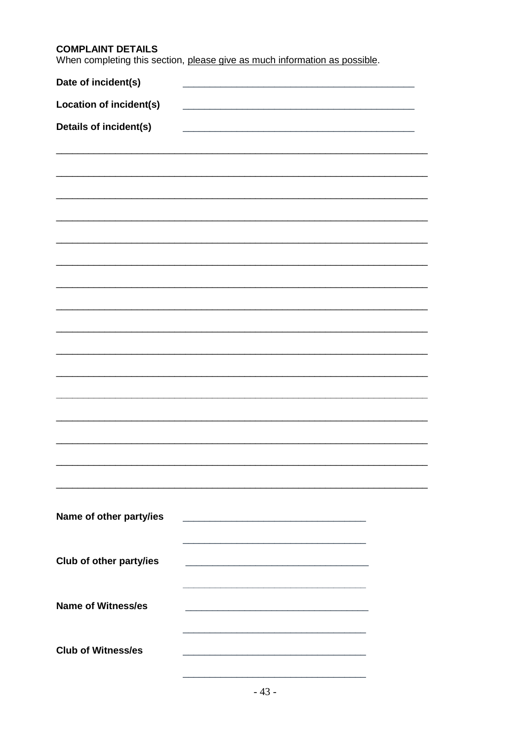# **COMPLAINT DETAILS**

When completing this section, please give as much information as possible.

| Date of incident(s)            |  |
|--------------------------------|--|
| <b>Location of incident(s)</b> |  |
| Details of incident(s)         |  |
|                                |  |
|                                |  |
|                                |  |
|                                |  |
|                                |  |
|                                |  |
|                                |  |
|                                |  |
|                                |  |
|                                |  |
|                                |  |
|                                |  |
|                                |  |
|                                |  |
|                                |  |
|                                |  |
|                                |  |
| Name of other party/ies        |  |
|                                |  |
|                                |  |
| Club of other party/ies        |  |
|                                |  |
| <b>Name of Witness/es</b>      |  |
|                                |  |
| <b>Club of Witness/es</b>      |  |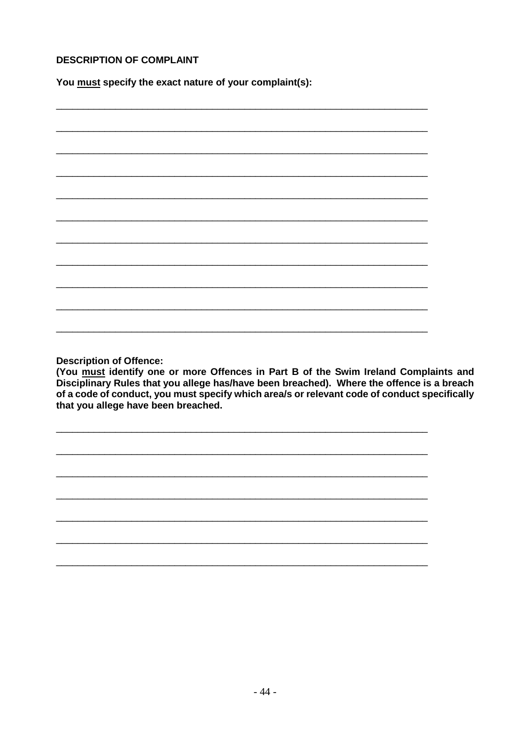## **DESCRIPTION OF COMPLAINT**

You must specify the exact nature of your complaint(s):

**Description of Offence:** 

(You must identify one or more Offences in Part B of the Swim Ireland Complaints and Disciplinary Rules that you allege has/have been breached). Where the offence is a breach of a code of conduct, you must specify which area/s or relevant code of conduct specifically that you allege have been breached.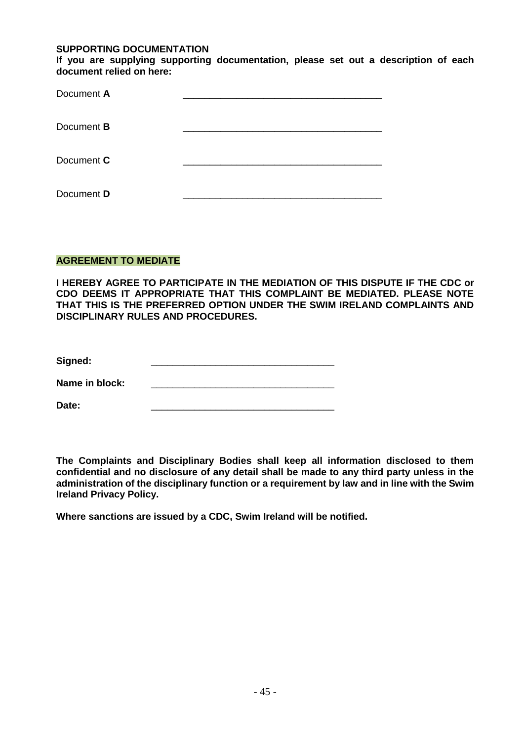#### **SUPPORTING DOCUMENTATION**

**If you are supplying supporting documentation, please set out a description of each document relied on here:**

| Document A        |  |
|-------------------|--|
| Document <b>B</b> |  |
| Document C        |  |
| Document D        |  |

### **AGREEMENT TO MEDIATE**

**I HEREBY AGREE TO PARTICIPATE IN THE MEDIATION OF THIS DISPUTE IF THE CDC or CDO DEEMS IT APPROPRIATE THAT THIS COMPLAINT BE MEDIATED. PLEASE NOTE THAT THIS IS THE PREFERRED OPTION UNDER THE SWIM IRELAND COMPLAINTS AND DISCIPLINARY RULES AND PROCEDURES.**

Name in block:

**Date:** \_\_\_\_\_\_\_\_\_\_\_\_\_\_\_\_\_\_\_\_\_\_\_\_\_\_\_\_\_\_\_\_\_\_

**The Complaints and Disciplinary Bodies shall keep all information disclosed to them confidential and no disclosure of any detail shall be made to any third party unless in the administration of the disciplinary function or a requirement by law and in line with the Swim Ireland Privacy Policy.** 

**Where sanctions are issued by a CDC, Swim Ireland will be notified.**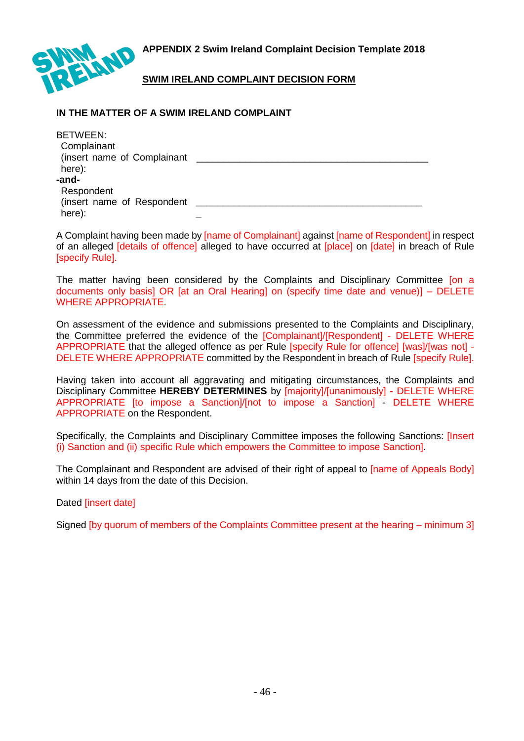<span id="page-45-0"></span>**APPENDIX 2 Swim Ireland Complaint Decision Template 2018**



**SWIM IRELAND COMPLAINT DECISION FORM**

# **IN THE MATTER OF A SWIM IRELAND COMPLAINT**

| BETWEEN:                    |  |
|-----------------------------|--|
| Complainant                 |  |
| (insert name of Complainant |  |
| here):                      |  |
| -and-                       |  |
| Respondent                  |  |
| (insert name of Respondent  |  |
| here):                      |  |

A Complaint having been made by [name of Complainant] against [name of Respondent] in respect of an alleged [details of offence] alleged to have occurred at [place] on [date] in breach of Rule [specify Rule].

The matter having been considered by the Complaints and Disciplinary Committee [on a documents only basis] OR [at an Oral Hearing] on (specify time date and venue)] – DELETE WHERE APPROPRIATE.

On assessment of the evidence and submissions presented to the Complaints and Disciplinary, the Committee preferred the evidence of the [Complainant]/[Respondent] - DELETE WHERE APPROPRIATE that the alleged offence as per Rule [specify Rule for offence] [was]/[was not] - DELETE WHERE APPROPRIATE committed by the Respondent in breach of Rule [specify Rule].

Having taken into account all aggravating and mitigating circumstances, the Complaints and Disciplinary Committee **HEREBY DETERMINES** by [majority]/[unanimously] - DELETE WHERE APPROPRIATE [to impose a Sanction]/[not to impose a Sanction] - DELETE WHERE APPROPRIATE on the Respondent.

Specifically, the Complaints and Disciplinary Committee imposes the following Sanctions: [Insert (i) Sanction and (ii) specific Rule which empowers the Committee to impose Sanction].

The Complainant and Respondent are advised of their right of appeal to *[name of Appeals Body]* within 14 days from the date of this Decision.

Dated [insert date]

Signed [by quorum of members of the Complaints Committee present at the hearing – minimum 3]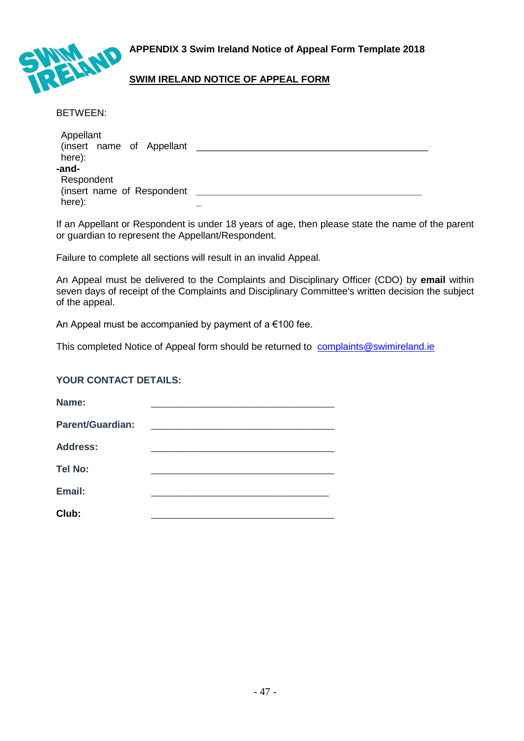<span id="page-46-0"></span>**APPENDIX 3 Swim Ireland Notice of Appeal Form Template 2018**



# **SWIM IRELAND NOTICE OF APPEAL FORM**

BETWEEN:

| Appellant<br>(insert name of Appellant |  |
|----------------------------------------|--|
| here):                                 |  |
| -and-                                  |  |
| Respondent                             |  |
| (insert name of Respondent             |  |
| here):                                 |  |

If an Appellant or Respondent is under 18 years of age, then please state the name of the parent or guardian to represent the Appellant/Respondent.

Failure to complete all sections will result in an invalid Appeal.

An Appeal must be delivered to the Complaints and Disciplinary Officer (CDO) by **email** within seven days of receipt of the Complaints and Disciplinary Committee's written decision the subject of the appeal.

An Appeal must be accompanied by payment of a €100 fee.

This completed Notice of Appeal form should be returned to [complaints@swimireland.ie](mailto:complaints@swimireland.ie)

### **YOUR CONTACT DETAILS:**

| Name:                   |  |
|-------------------------|--|
| <b>Parent/Guardian:</b> |  |
| <b>Address:</b>         |  |
| <b>Tel No:</b>          |  |
| Email:                  |  |
| Club:                   |  |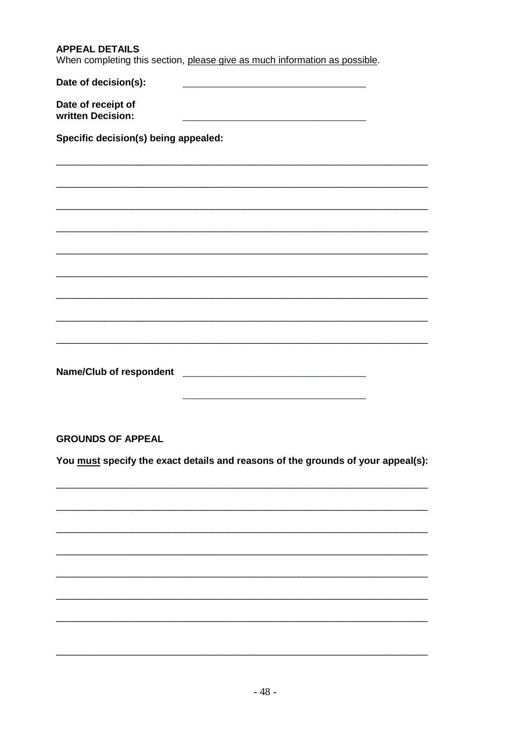| <b>APPEAL DETAILS</b><br>When completing this section, please give as much information as possible.                                                             |  |  |
|-----------------------------------------------------------------------------------------------------------------------------------------------------------------|--|--|
| Date of decision(s):                                                                                                                                            |  |  |
| Date of receipt of<br>written Decision:<br><u> 1989 - Jan James James, margaret eta idazleari zituen erroman zituen zituen zuen zuen zituen zituen zituen z</u> |  |  |
| Specific decision(s) being appealed:                                                                                                                            |  |  |
|                                                                                                                                                                 |  |  |
|                                                                                                                                                                 |  |  |
|                                                                                                                                                                 |  |  |
|                                                                                                                                                                 |  |  |
|                                                                                                                                                                 |  |  |
|                                                                                                                                                                 |  |  |
|                                                                                                                                                                 |  |  |
|                                                                                                                                                                 |  |  |
|                                                                                                                                                                 |  |  |
| <b>Name/Club of respondent</b><br><u> 1980 - Jan Barnett, fransk politik (d. 1980)</u>                                                                          |  |  |
| <b>GROUNDS OF APPEAL</b>                                                                                                                                        |  |  |
| You must specify the exact details and reasons of the grounds of your appeal(s):                                                                                |  |  |
|                                                                                                                                                                 |  |  |
|                                                                                                                                                                 |  |  |
|                                                                                                                                                                 |  |  |
|                                                                                                                                                                 |  |  |
|                                                                                                                                                                 |  |  |
|                                                                                                                                                                 |  |  |
|                                                                                                                                                                 |  |  |
|                                                                                                                                                                 |  |  |